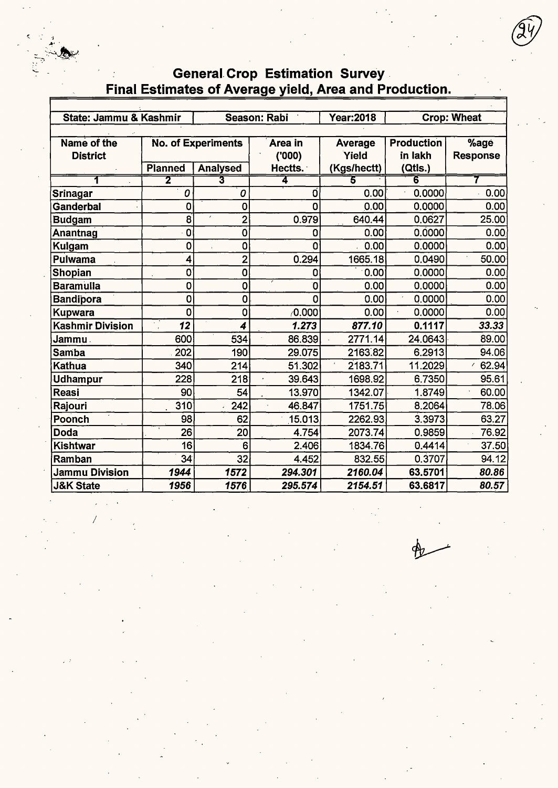### **Year:2018 Crop: Wheat** State: Jammu & Kashmir Season: Rabi **No. of Experiments Production** Name of the Area in **Average**  $%$ age **District**  $(000)$ Yield in lakh **Response** (Kgs/hectt) **Planned** Analysed Hectts. (Qtls.)  $\overline{5}$  $\overline{\mathbf{z}}$ 3 7  $\overline{o}$  $\overline{\mathfrak{o}}$  $0.00$ 0.0000  $0.00$ **Srinagar**  $\overline{o}$  $\overline{0}$  $0.0000$  $0.00$ Ganderbal  $\overline{0}$  $\overline{0}$  $0.00$ **Budgam**  $\overline{8}$  $\overline{2}$  $0.979$ 640.44 0.0627 25.00  $0.00$ Anantnag  $\overline{0}$  $\overline{\mathbf{0}}$  $\overline{0}$  $0.00$  $0.0000$  $\overline{\mathfrak{o}}$  $\overline{0}$  $\overline{0}$  $0.0000$  $0.00$ Kulgam  $0.00$  $\overline{\bf{4}}$  $\overline{2}$  $0.294$ 1665.18 Pulwama  $0.0490$ 50.00  $\overline{\mathfrak{o}}$ **Shopian**  $\overline{\mathbf{0}}$  $0.00$  $0.0000$  $0.00$  $\mathbf 0$ **Baramulla**  $\overline{\mathbf{0}}$  $\overline{\mathbf{o}}$  $0.00$  $0.0000$  $0.00$  $\overline{0}$ Bandipora  $\overline{\mathfrak{o}}$  $\overline{\mathbf{0}}$  $\overline{\mathfrak{o}}$  $0.00$  $0.0000$  $0.00$  $\overline{0}$  $\sqrt{0.000}$ **Kupwara**  $\overline{0}$  $0.00$ 0.0000  $0.00$ **Kashmir Division**  $\overline{12}$  $\overline{\boldsymbol{4}}$  $1.273$ 877.10  $0.1117$  $33.33$  $\overline{600}$  $534$ 24.0643 89.00 Jammu . 86.839 2771.14 **Samba** 202 190 29.075 2163.82 6.2913 94.06  $\overline{3}40$  $214$ 11.2029 62.94 Kathua 51.302 2183.71  $\mathcal{E}$ 6.7350  $95.61$ Udhampur 228  $218$ 39.643 1698.92  $90$ 13.970 60.00 Reasi 54 1342.07 1.8749  $310$ 1751.75 Rajouri 242 46.847 8.2064 78.06 Poonch 98 62 15.013 2262.93 3.3973 63.27  $\overline{26}$ Doda  $20$ 4.754 2073.74 0.9859 76.92 Kishtwar  $\overline{16}$  $6$ 2.406 1834.76  $0.4414$  $37.50$ Ramban  $34$ 32 4.452 832.55 0.3707 94.12 **Jammu Division** 1944 1572 294.301 2160.04 63.5701 80.86 1956 1576 295.574 2154.51 63.6817 80.57 **J&K State**

**General Crop Estimation Survey** Final Estimates of Average yield, Area and Production.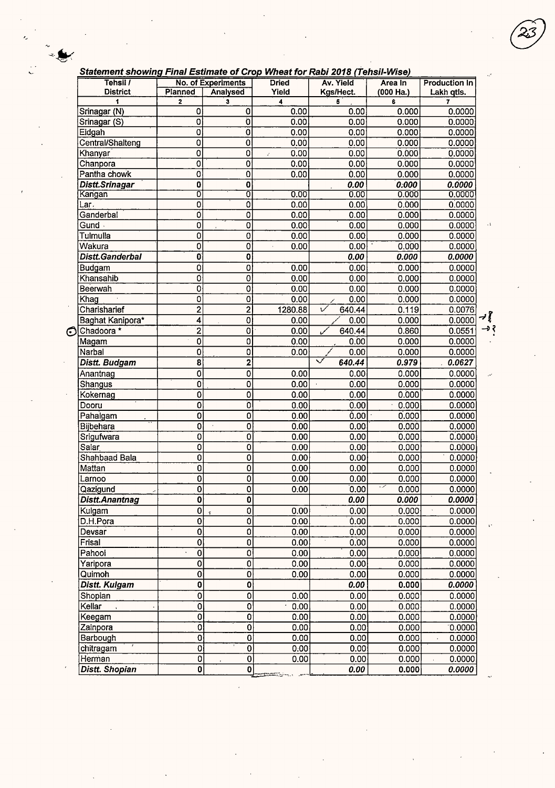|  | Statement showing Final Estimate of Crop Wheat for Rabi 2018 (Tehsil-Wise) |  |
|--|----------------------------------------------------------------------------|--|
|  |                                                                            |  |

|   | 31 Juliet Showing Final Csumate of Grop Wheat for Rabi 2010 (Tensil-Wise) |                                           |                                           |                       |                                   |            |                      |
|---|---------------------------------------------------------------------------|-------------------------------------------|-------------------------------------------|-----------------------|-----------------------------------|------------|----------------------|
|   | Tehsil /                                                                  | Planned                                   | No. of Experiments                        | <b>Dried</b>          | Av. Yield                         | Area In    | <b>Production In</b> |
|   | <b>District</b>                                                           |                                           | <b>Analysed</b><br>3                      | Yield<br>4            | Kgs/Hect.                         | (000 Ha.)  | Lakh qtis.<br>7      |
|   | 1<br>Srinagar (N)                                                         | $\mathbf{2}$<br>0                         | $\mathbf 0$                               | 0.00                  | 5                                 | 6<br>0.000 | 0.0000               |
|   |                                                                           | $\overline{0}$                            | $\overline{0}$                            | 0.00                  | 0.00<br>0.00                      | 0.000      | 0.0000               |
|   | Srinagar (S)                                                              |                                           | $\overline{0}$                            |                       |                                   |            |                      |
|   | Eidgah                                                                    | 0                                         |                                           | 0.00                  | 0.00                              | 0.000      | 0.0000               |
|   | Central/Shalteng                                                          | 0                                         | $\bf{0}$                                  | 0.00                  | 0.00                              | 0.000      | 0.0000               |
|   | Khanyar                                                                   | 0                                         | 0                                         | 0.00<br>$\mathcal{L}$ | 0.00                              | 0.000      | 0.0000               |
|   | Chanpora                                                                  | 0                                         | 0                                         | 0.00                  | 0.00                              | 0.000      | 0.0000               |
|   | Pantha chowk                                                              | 0                                         | $\overline{0}$                            | 0.00                  | 0.00                              | 0.000      | 0.0000               |
|   | Distt.Srinagar                                                            | $\mathbf 0$                               | $\mathbf 0$                               |                       | 0.00                              | 0.000      | 0.0000               |
|   | Kangan                                                                    | 0                                         | 0                                         | 0.00                  | 0.00                              | 0.000      | 0.0000               |
|   | Lar.                                                                      | $\mathbf 0$                               | $\mathbf 0$                               | 0.00                  | 0.00                              | 0.000      | 0.0000               |
|   | Ganderbal                                                                 | Ó                                         | 0                                         | 0.00                  | 0.00                              | 0.000      | 0.0000               |
|   | Gund -                                                                    | 0                                         | $\mathbf 0$                               | 0.00                  | 0.00                              | 0.000      | 0.0000               |
|   | Tulmulla                                                                  | 0                                         | $\pmb{0}$                                 | 0.00                  | 0.00                              | 0.000      | 0.0000               |
|   | Wakura                                                                    | $\overline{\mathbf{0}}$                   | Ö                                         | 0.00                  | 0.00                              | 0.000      | 0.0000               |
|   | Distt.Ganderbal                                                           | O                                         | 0                                         |                       | 0.00                              | 0.000      | 0.0000               |
|   | Budgam                                                                    | Ó                                         | $\mathbf 0$                               | 0.00                  | 0.00                              | 0.000      | 0.0000               |
|   | Khansahib                                                                 | Ó                                         | $\overline{0}$                            | 0.00                  | 0.00                              | 0.000      | 0.0000               |
|   | Beerwah                                                                   | $\overline{\mathfrak{o}}$                 | $\overline{0}$                            | 0.00                  | 0.00                              | 0.000      | 0.0000               |
|   | Khag                                                                      | 0                                         | 0                                         | 0.00                  | 0.00                              | 0.000      | 0.0000               |
|   | Charisharief                                                              | 2                                         | $\overline{2}$                            | 1280.88               | レ<br>640.44                       | 0.119      | 0.0076               |
|   | Baghat Kanipora*                                                          | $\overline{\bf{4}}$                       | $\mathbf 0$                               | 0.00                  | 0.00                              | 0.000      | 0.0000               |
| ⊙ | Chadoora *                                                                | $\overline{\mathbf{c}}$                   | 0                                         | 0.00                  | 640.44                            | 0.860      | 0.0551               |
|   | Magam                                                                     | 0                                         | 0                                         | 0.00                  | 0.00                              | 0.000      | 0.0000               |
|   | Narbal                                                                    | 0                                         | 0                                         | 0.00                  | 0.00                              | 0.000      | 0.0000               |
|   | Distt. Budgam                                                             | 8                                         | $\overline{\mathbf{z}}$                   |                       | $\overline{\checkmark}$<br>640.44 | 0.979      | 0.0627               |
|   | Anantnag                                                                  | 0                                         | 0                                         | 0.00                  | 0.00                              | 0.000      | 0.0000               |
|   | Shangus                                                                   | $\overline{0}$                            | 0                                         | 0.00                  | 0.00<br>$\mathcal{L}$             | 0.000      | 0.0000               |
|   | Kokernag                                                                  | 0                                         | O                                         | 0.00                  | 0.00                              | 0.000      | 0.0000               |
|   | Dooru                                                                     | $\overline{0}$                            | Ö                                         | 0.00                  | 0.00                              | 0.000      | 0.0000               |
|   | Pahalgam                                                                  | ō                                         | 0                                         | 0.00                  | 0.00                              | 0.000      | 0.0000               |
|   | Bijbehara                                                                 | $\overline{0}$                            | $\overline{0}$                            | 0.00.                 | 0.00                              | 0.000      | 0.0000               |
|   | Srigufwara                                                                | 0                                         | $\overline{0}$                            | 0.00                  | 0.00                              | 0.000      | 0.0000               |
|   | Salar                                                                     | 0                                         | $\overline{0}$                            | 0.00                  | 0.00                              | 0.000      | 0.0000               |
|   | Shahbaad Bala                                                             | $\overline{\mathbf{0}}$                   | 0                                         | 0.00                  | 0.00                              | 0.000      | 0.0000               |
|   | Mattan                                                                    | $\overline{\mathbf{0}}$                   | 0                                         | 0.00                  |                                   | 0.000      |                      |
|   |                                                                           |                                           |                                           |                       | 0.00                              |            | 0.0000               |
|   | Larnoo                                                                    | $\overline{0}$<br>o                       | $\overline{0}$<br>$\overline{\mathbf{o}}$ | 0.00                  | 0.00                              | 0.000      | 0.0000               |
|   | Qazigund                                                                  |                                           |                                           | 0.00                  | 0.00                              | 0.000      | 0.0000               |
|   | Distt.Anantnag                                                            | $\overline{\mathbf{0}}$                   | 0                                         |                       | 0.00                              | 0.000      | 0.0000               |
|   | Kulgam                                                                    | 0                                         | $\overline{0}$                            | 0.00                  | 0.00                              | 0.000      | 0.0000               |
|   | D.H.Pora                                                                  | $\overline{\mathfrak{o}}$                 | Ō                                         | 0.00                  | 0.00                              | 0.000      | 0.0000               |
|   | Devsar                                                                    | $\overline{\mathbf{0}}$<br>$\blacksquare$ | $\overline{0}$                            | 0.00                  | 0.00                              | 0.000      | 0.0000               |
|   | Frisal                                                                    | 0                                         | 0                                         | 0.00                  | 0.00                              | 0.000      | 0.0000               |
|   | Pahool                                                                    | $\overline{0}$                            | 0                                         | 0.00                  | 0.00                              | 0.000      | 0.0000               |
|   | Yaripora                                                                  | $\overline{\mathfrak{o}}$                 | 0                                         | 0.00                  | 0.00                              | 0.000      | 0.0000               |
|   | Quimoh                                                                    | $\overline{0}$                            | $\overline{0}$                            | 0.00                  | 0.00                              | 0.000      | 0.0000               |
|   | Distt. Kulgam                                                             | $\overline{\mathbf{0}}$                   | $\overline{\mathbf{0}}$                   |                       | 0.00                              | 0.000      | 0.0000               |
|   | Shopian                                                                   | 0                                         | $\mathbf 0$                               | 0.00                  | 0.00                              | 0.000      | 0.0000               |
|   | Kellar                                                                    | 0                                         | 0                                         | 0.00                  | 0.00                              | 0.000      | 0.0000               |
|   | Keegam                                                                    | $\overline{0}$                            | $\overline{0}$                            | 0.00                  | 0.00                              | 0.000      | 0.0000               |
|   | Zainpora                                                                  | $\overline{0}$                            | $\overline{\mathfrak{o}}$                 | 0.00                  | 0.00                              | 0.000      | [0.0000]             |
|   | Barbough                                                                  | $\overline{0}$                            | $\overline{\mathfrak{o}}$                 | 0.00                  | 0.00                              | 0.000      | 0.0000               |
|   | chitragam                                                                 | $\overline{0}$                            | $\overline{0}$                            | 0:00                  | 0.00                              | 0.000      | 0.0000               |
|   | Herman                                                                    | $\overline{0}$                            | $\mathbf{0}$                              | 0.00                  | 0.00 <sub>1</sub>                 | 0.000      | 0.0000               |
|   | <b>Distt. Shopian</b>                                                     | $\overline{\mathbf{0}}$                   | $\overline{\mathbf{0}}$                   |                       | 0.00                              | 0.000      | 0.0000               |

→ {<br>→ <<br>→ <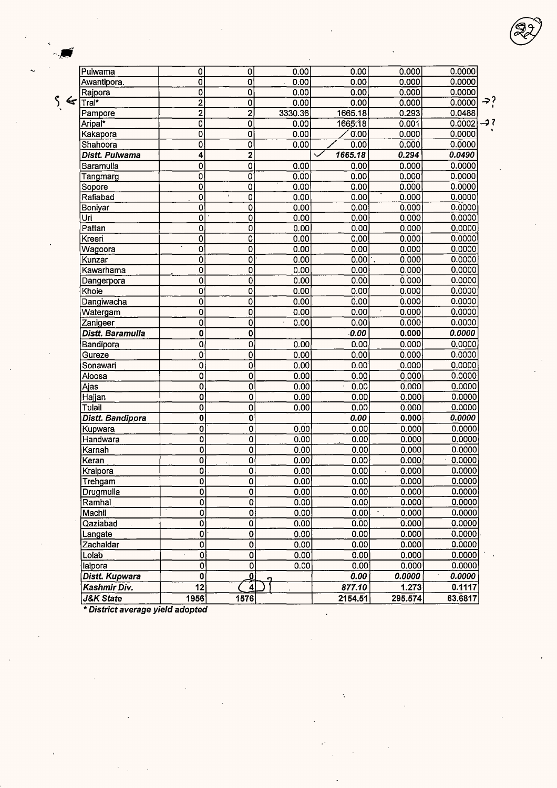| $\overline{\mathbf{0}}$<br>0<br>$\overline{12}$<br>1956 | ₫<br>$\overline{4}$<br>1576    |                              | 0.00<br>877.10<br>2154.51 | 0.0000<br>1.273<br>295.574    | 0.1117<br>63.6817 |
|---------------------------------------------------------|--------------------------------|------------------------------|---------------------------|-------------------------------|-------------------|
|                                                         |                                |                              |                           |                               | 0.0000            |
|                                                         |                                |                              |                           |                               |                   |
|                                                         | 0                              | 0.00                         | 0.00                      | 0.000                         | 0.0000            |
| $\overline{0}$                                          | 0                              | 0.00                         | 0.00                      | 0.000                         | 0.0000            |
| 0                                                       | 0                              | 0.00                         | 0.00                      | 0.000                         | 0.0000            |
| O                                                       | 0                              | 0.00                         | 0.00                      | 0.000                         | 0.0000            |
| $\overline{\mathbf{0}}$                                 | O                              | 0.00                         | 0.00                      | 0.000                         | 0.0000            |
| 0                                                       | Ō,                             | 0.00                         | 0.00                      | 0.000                         | 0.0000            |
| 0                                                       | 0                              | 0.00                         | 0.00                      | 0.000                         | 0.0000            |
| ō                                                       | ō                              | 0.00                         | 0.00                      | 0.000                         | 0.0000            |
| 0                                                       | $\overline{0}$                 | 0.00                         | 0.00                      | 0.000                         | 0.0000            |
| $\overline{\mathsf{o}}$                                 | 0                              | 0.00                         | 0.00                      | 0.000<br>$\ddot{\phantom{1}}$ | 0.0000            |
| $\overline{\mathfrak{o}}$                               | 0                              | 0.00                         | 0.00                      | 0.000                         | 0.0000            |
| $\overline{\mathfrak{o}}$                               | 0                              | 0.00                         | 0.00                      | 0.000                         | 0.0000            |
| $\overline{0}$                                          | 0                              | 0.00                         | 0.00                      | 0.000                         | 0.0000            |
| 0                                                       | 0                              | 0.00                         | 0.00                      | 0.000                         | 0.0000            |
| $\overline{\mathfrak{o}}$                               | 0                              |                              | 0.00                      | 0.000                         | 0.0000            |
| $\overline{0}$                                          | $\overline{0}$                 | 0.00                         | 0.00                      | 0.000                         | 0.0000            |
| 0                                                       | 0                              | 0.00                         | 0.00                      | 0.000                         | 0.0000            |
| $\overline{0}$                                          | 0                              | 0.00                         | 0.00                      | 0.000                         | 0.0000            |
| 0                                                       | 0                              | 0.00                         | 0.00                      | 0.000                         | 0.0000            |
| 0                                                       | 0                              | 0.00                         | 0.00                      | 0.000                         | 0.0000            |
| Ō                                                       | $\mathbf 0$                    | 0.00                         | 0.00                      | 0.000                         | 0.0000            |
| 0                                                       | 0                              | 0.00                         | 0.00                      | 0.000                         | 0.0000            |
| Ō                                                       | $\bf{0}$                       |                              | 0.00                      | 0.000                         | 0.0000            |
| $\overline{0}$                                          | $\mathbf 0$                    | 0.00                         | 0.00                      | 0.000                         | 0.0000            |
| $\overline{0}$                                          | 0                              | 0.00                         | 0.00                      | 0.000                         | 0.0000            |
| $\overline{0}$                                          | $\overline{\mathfrak{o}}$      | 0.00                         | 0.00                      | 0.000                         | 0.0000            |
| 0                                                       | $\mathbf 0$                    | 0.00                         | 0.00                      | 0.000                         | 0.0000            |
| 0                                                       | $\mathbf 0$                    | 0.00                         | 0.00                      | 0.000                         | 0.0000            |
| 0                                                       | 0                              | 0.00                         | 0.00                      | 0.000                         | 0.0000            |
| 0                                                       | 0                              | 0.00                         | 0.00                      | 0.000                         | 0.0000            |
| 0                                                       | 0                              | 0.00                         | 0.00                      | 0.000                         | 0.0000            |
| $\overline{\mathfrak{o}}$                               | 0                              | 0.00                         | 0.00                      | 0.000                         | 0.0000            |
| 0                                                       | $\mathbf 0$                    | 0.00                         | 0.00                      | 0.000                         | 0.0000            |
| 0                                                       | $\overline{0}$                 | 0.00                         | 0.00                      | 0.000                         | 0.0000            |
| 0                                                       | $\mathbf 0$                    | 0.00                         | 0.00                      | 0.000                         | 0.0000            |
| $\overline{\mathbf{0}}$                                 | $\overline{0}$<br>$\mathbf{t}$ | 0.00                         | 0.00                      | 0.000                         | 0.0000            |
| ō<br>O                                                  | 0<br>0                         | 0.00<br>0.00                 | 0.00<br>0.00              | 0.000                         | 0.0000<br>0.0000  |
| $\overline{\mathfrak{o}}$                               | $\mathbf 0$                    | 0.00                         | 0.00                      | 0.000<br>0.000                | 0.0000            |
|                                                         | $\overline{\mathbf{2}}$        |                              |                           |                               | 0.0490            |
| 0<br>4                                                  | 0                              | 0.00                         | 0.00<br>1665.18           | 0.000<br>0.294                | 0.0000            |
| 0                                                       | 0                              | 0.00                         | 0.00                      | 0.000                         | 0.0000            |
| 0                                                       | 0                              | 0.00                         | 1665.18                   | 0.001                         | 0.0002            |
| 2                                                       | $\overline{2}$                 | 3330.36                      | 1665.18                   | 0.293                         | 0.0488            |
| 2                                                       | $\mathbf 0$                    | 0.00                         | 0.00                      | 0.000                         | 0.0000            |
| 0                                                       | 0                              | 0.00                         | 0.00                      | 0.000                         | 0.0000            |
|                                                         |                                |                              |                           |                               | 0.0000            |
|                                                         | 0<br>Ō                         | 0<br>$\overline{\mathbf{0}}$ | 0.00<br>0.00              | 0.00<br>0.00                  | 0.000<br>0.000    |

\* **District average yield adopted**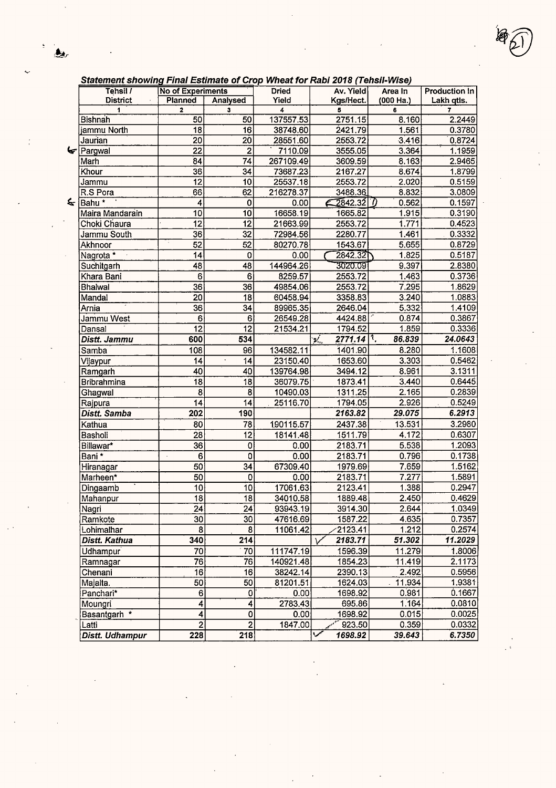$\frac{\epsilon}{2}$ 

 $\frac{1}{2}$ 

 $\mathcal{A}^{\text{max}}_{\text{max}}$  and  $\mathcal{A}^{\text{max}}_{\text{max}}$ 

| Statement snowing Final Estimate of Crop Wheat for Rabi 2018 (Tensil-Wise) |                          |                 |                |                                                          |             |                          |
|----------------------------------------------------------------------------|--------------------------|-----------------|----------------|----------------------------------------------------------|-------------|--------------------------|
| Tehsil /                                                                   | <b>No of Experiments</b> |                 | <b>Dried</b>   | Av. Yield                                                | Area In     | <b>Production In</b>     |
| <b>District</b>                                                            | Planned                  | Analysed        | Yield          | Kgs/Hect.                                                | $(000$ Ha.) | Lakh qtis.               |
| $\mathbf{1}$<br>Bishnah                                                    | $\mathbf{2}$             | 3<br>50         | 4<br>137557.53 | 5<br>2751.15                                             | 6<br>8.160  | $\overline{ }$<br>2.2449 |
| jammu North                                                                | 50<br>18                 | $\overline{16}$ | 38748.60       | 2421.79                                                  | 1.561       | 0.3780                   |
| Jaurian                                                                    | $\overline{20}$          | $\overline{20}$ | 28551.60       | 2553.72                                                  | 3.416       | 0.8724                   |
| $\blacktriangleright$ Pargwal                                              | 22                       | $\overline{2}$  | 7110.09        | 3555.05                                                  | 3.364       | 1.1959                   |
| Marh                                                                       | $\overline{84}$          | 74              | 267109.49      | 3609.59                                                  | 8.163       | 2.9465                   |
| Khour                                                                      | 36                       | 34              | 73687.23       | 2167.27                                                  | 8.674       | 1.8799                   |
| Jammu                                                                      | 12                       | 10              | 25537.18       | 2553.72                                                  | 2.020       | 0.5159                   |
| R.S Pora                                                                   | 66                       | 62              | 216278.37      | 3488.36                                                  | 8.832       | 3.0809                   |
| $\leq$ Bahu *                                                              | 4                        | 0               | 0.00           | 2842.32                                                  | 0.562       | 0.1597                   |
| Maira Mandarain                                                            | 10                       | 10              | 16658.19       | 1665.82                                                  | 1.915       | 0.3190                   |
| Choki Chaura                                                               | $\overline{12}$          | 12              | 21663.99       | 2553.72                                                  | 1.771       | 0.4523                   |
| Jammu South                                                                | $\overline{36}$          | 32              | 72984.56       | 2280.77                                                  | 1.461       | 0.3332                   |
| Akhnoor                                                                    | $\overline{52}$          | 52              | 80270.78       | 1543.67                                                  | 5.655       | 0.8729                   |
| Nagrota *                                                                  | 14                       | 0               | 0.00           | 2842.32                                                  | 1.825       | 0.5187                   |
| Suchitgarh                                                                 | 48                       | 48              | 144964.26      | 3020.09                                                  | 9.397       | 2.8380                   |
| Khara Bani                                                                 | 6                        | 6               | 8259.57        | 2553.72                                                  | 1.463       | 0.3736                   |
| <b>Bhalwal</b>                                                             | $\overline{36}$          | 36              | 49854.06       | 2553.72                                                  | 7.295       | 1.8629                   |
| Mandal                                                                     | $\overline{20}$          | 18              | 60458.94       | 3358.83                                                  | 3.240       | 1.0883                   |
| Arnia                                                                      | $\overline{36}$          | 34              | 89965.35       | 2646.04                                                  | 5.332       | 1.4109                   |
| Jammu West                                                                 | 6                        | $\overline{6}$  | 26549.28       | 4424.88                                                  | 0.874       | 0.3867                   |
| Dansal                                                                     | $\overline{12}$          | $\overline{12}$ | 21534.21       | 1794.52                                                  | 1.859       | 0.3336                   |
| Distt. Jammu                                                               | 600                      | 534             |                | $2771.14$ <sup>1</sup> .<br>$\mathbf{p}_{\mathrm{in}}^f$ | 86.839      | 24.0643                  |
| Samba                                                                      | 108                      | 96              | 134582.11      | 1401.90                                                  | 8.280       | 1.1608                   |
| Vijaypur                                                                   | 14                       | 14              | 23150.40       | 1653.60                                                  | 3.303       | 0.5462                   |
| Ramgarh                                                                    | 40                       | 40              | 139764.98      | 3494.12                                                  | 8.961       | 3.1311                   |
| Bribrahmina                                                                | $\overline{18}$          | 18              | 36079.75       | 1873.41                                                  | 3.440       | 0.6445                   |
| Ghagwal                                                                    | $\overline{8}$           | 8               | 10490.03       | 1311.25                                                  | 2.165       | 0.2839                   |
| Rajpura                                                                    | 14                       | 14              | 25116.70       | 1794.05                                                  | 2.926       | 0.5249                   |
| Distt. Samba                                                               | 202                      | 190             |                | 2163.82                                                  | 29.075      | 6.2913                   |
| Kathua                                                                     | 80                       | 78              | 190115.57      | 2437.38                                                  | 13.531      | 3.2980                   |
| Basholi                                                                    | 28                       | 12              | 18141.48       | 1511.79                                                  | 4.172       | 0.6307                   |
| Billawar*                                                                  | 36                       | 0               | 0.00           | 2183.71                                                  | 5.538       | 1.2093                   |
| Bani *                                                                     | 6<br>$\cdot$             | 0               | 0.00           | 2183.71                                                  | 0.796       | 0.1738                   |
| Hiranagar                                                                  | 50                       | 34              | 67309.40       | 1979.69                                                  | 7.659       | 1.5162                   |
| Marheen*                                                                   | $\overline{50}$          | $\mathbf 0$     | 0.00           | 2183.71                                                  | 7.277       | 1.5891                   |
| Dingaamb                                                                   | $\overline{10}$          | $\overline{10}$ | 17061.63       | 2123.41                                                  | 1.388       | 0.2947                   |
| Mahanpur                                                                   | $\overline{18}$          | 18              | 34010.58       | 1889.48                                                  | 2.450       | 0.4629                   |
| Nagri                                                                      | 24                       | 24              | 93943.19       | 3914.30                                                  | 2.644       | 1.0349                   |
| Ramkote                                                                    | 30 <sup>2</sup>          | 30              | 47616.69       | 1587.22                                                  | 4.635       | 0.7357                   |
| Lohimalhar                                                                 | 8 <sup>1</sup>           | 8               | 11061.42       | 2123.41                                                  | 1.212       | 0.2574                   |
| Distt. Kathua                                                              | 340                      | 214             |                | 2183.71                                                  | 51.302      | 11.2029                  |
| Udhampur                                                                   | 70                       | 70              | 111747.19      | 1596.39                                                  | 11.279      | 1.8006                   |
| Ramnagar                                                                   | 76                       | 76              | 140921.48      | 1854.23                                                  | 11.419      | 2.1173                   |
| Chenani                                                                    | 16                       | 16              | 38242.14       | 2390.13                                                  | 2.492       | 0.5956                   |
| Majalta.                                                                   | 50                       | 50              | 81201.51       | 1624.03                                                  | 11.934      | 1.9381                   |
| Panchari*                                                                  | 6 <sup>1</sup>           | 0               | 0.00           | 1698.92                                                  | 0.981       | 0.1667                   |
| Moungri                                                                    | $\vert 4 \vert$          | 4               | 2783.43        | 695.86                                                   | 1.164       | 0.0810                   |
| Basantgarh *                                                               | $\vert 4 \vert$          | 0               | 0.00           | 1698.92                                                  | 0.015       | 0.0025                   |
| Latti                                                                      | $\overline{2}$           | $\overline{2}$  | 1847.00        | 923.50                                                   | 0.359       | 0.0332                   |
| Distt. Udhampur                                                            | 228                      | 218             |                | 1698.92                                                  | 39.643      | 6.7350                   |

 $\ddot{\cdot}$ 

 $\mathcal{A}^{\mathcal{A}}$ 

 $\ddot{\phantom{0}}$ 

 $\label{eq:2} \frac{1}{\sqrt{2}}\int_{0}^{\infty}\frac{1}{\sqrt{2}}\left(\frac{1}{\sqrt{2}}\right)^{2}d\mu_{\rm{eff}}\,.$ 

l.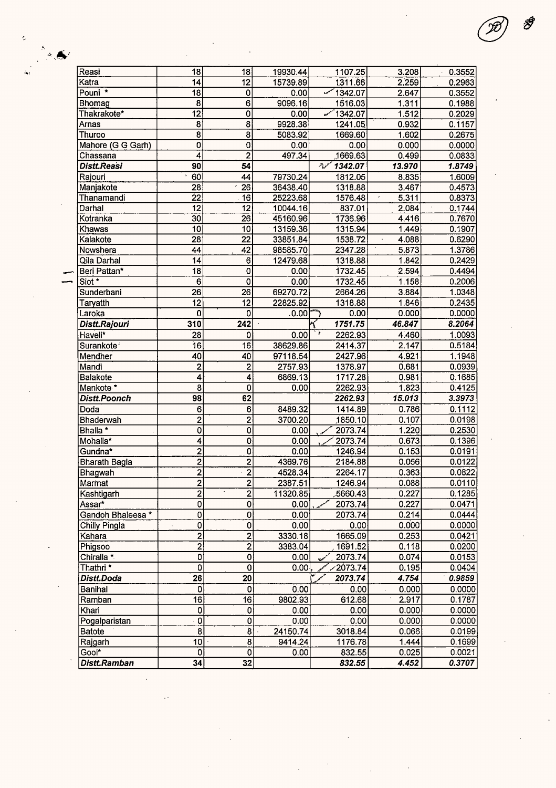| Reasi                  | 18                      | 18                      | 19930.44 | 1107.25           | 3.208               | 0.3552 |
|------------------------|-------------------------|-------------------------|----------|-------------------|---------------------|--------|
| Katra                  | 14                      | $\overline{12}$         | 15739.89 | 1311.66           | 2.259               | 0.2963 |
| Pouni <sup>*</sup>     | $\overline{18}$         | $\pmb{0}$               | 0.00     | 1342.07           | 2.647               | 0.3552 |
| Bhomag                 | 8                       | 6                       | 9096.16  | 1516.03           | 1.311               | 0.1988 |
| Thakrakote*            | $\overline{12}$         | 0                       | 0.00     | 1342.07           | 1.512               | 0.2029 |
| Arnas                  | 8                       | 8                       | 9928.38  | 1241.05           | 0.932               | 0.1157 |
| Thuroo                 | 8                       | 8                       | 5083.92  | 1669.60           | 1.602               | 0.2675 |
| Mahore (G G Garh)      | 0                       | 0                       | 0.00     | 0.00              | 0.000               | 0.0000 |
| Chassana               | $\overline{4}$          | $\overline{2}$          | 497.34   | 1669.63           | 0.499               | 0.0833 |
| Distt.Reasi            | $\overline{90}$         | $\overline{54}$         |          | سمواتر<br>1342.07 | 13.970              | 1.8749 |
| Rajouri                | 60                      | 44                      | 79730.24 | 1812.05           | 8.835               | 1.6009 |
| Manjakote              | $\overline{28}$         | $\overline{26}$         | 36438.40 | 1318.88           | 3.467               | 0.4573 |
| Thanamandi             | $\overline{22}$         | $\overline{16}$         | 25223.68 | 1576.48           | 5.311<br>$\epsilon$ | 0.8373 |
| Darhal                 | $\overline{12}$         | $\overline{12}$         | 10044.16 | 837.01            | 2.084               | 0.1744 |
| Kotranka               | $\overline{30}$         | 26                      | 45160.96 | 1736.96           | 4.416               | 0.7670 |
| Khawas                 | 10                      | 10                      | 13159.36 | 1315.94           | 1.449               | 0.1907 |
| Kalakote               | $\overline{28}$         | $\overline{22}$         | 33851.84 | 1538.72           | 4.088               | 0.6290 |
|                        | 44                      | 42                      |          | 2347.28           |                     |        |
| Nowshera               |                         |                         | 98585.70 |                   | 5.873               | 1.3786 |
| Qila Darhal            | $\overline{14}$         | 6                       | 12479.68 | 1318.88           | 1.842               | 0.2429 |
| Beri Pattan*           | $\overline{18}$         | 0                       | 0.00     | 1732.45           | 2.594               | 0.4494 |
| Siot *                 | 6                       | 0                       | 0.00     | 1732.45           | 1.158               | 0.2006 |
| Sunderbani             | 26                      | $\overline{26}$         | 69270.72 | 2664.26           | 3.884               | 1.0348 |
| Taryatth               | 12                      | 12                      | 22825.92 | 1318.88           | 1.846               | 0.2435 |
| Laroka                 | 0                       | 0                       | ∴0.00 '  | 0.00              | 0.000               | 0.0000 |
| Distt.Rajouri          | 310                     | 242                     |          | 1751.75           | 46.847              | 8.2064 |
| Haveli*                | 28                      | 0                       | 0.00     | 2262.93           | 4.460               | 1.0093 |
| Surankote <sup>®</sup> | 16                      | $\overline{16}$         | 38629.86 | 2414.37           | 2.147               | 0.5184 |
| Mendher                | 40                      | 40                      | 97118.54 | 2427.96           | 4.921               | 1.1948 |
| Mandi                  | $\overline{c}$          | $\overline{\mathbf{c}}$ | 2757.93  | 1378.97           | 0.681               | 0.0939 |
| Balakote               | 4                       | 4                       | 6869.13  | 1717.28           | 0.981               | 0.1685 |
| Mankote *              | 8                       | 0                       | 0.00     | 2262.93           | 1.823               | 0.4125 |
| Distt.Poonch           | 98                      | 62                      |          | 2262.93           | 15.013              | 3.3973 |
| Doda                   | 6                       | 6                       | 8489.32  | 1414.89           | 0.786               | 0.1112 |
| Bhaderwah              | $\overline{2}$          | $\overline{2}$          | 3700.20  | 1850.10           | 0.107               | 0.0198 |
| Bhalla *               | 0                       | 0                       | 0.00     | 2073.74           | 1.220               | 0.2530 |
| Mohalla*               | 4                       | 0                       | 0.00     | 2073.74           | 0.673               | 0.1396 |
| Gundna*                | 2                       | 0                       | 0.00     | 1246.94           | 0.153               | 0.0191 |
| <b>Bharath Bagla</b>   | $\overline{\mathbf{c}}$ | $\overline{2}$          | 4369.76  | 2184.88           | 0.056               | 0.0122 |
| Bhagwah                | $\overline{2}$          | $\overline{2}$          | 4528.34  | 2264.17           | 0.363               | 0.0822 |
| Marmat                 | $\overline{\mathbf{2}}$ | $\overline{2}$          | 2387.51  | 1246.94           | 0.088               | 0.0110 |
| Kashtigarh             | $\overline{2}$          | $\overline{2}$          | 11320.85 | 5660.43           | 0.227               | 0.1285 |
| Assar*                 | $\overline{0}$          | $\overline{0}$          | 0.00     | 2073.74           | 0.227               | 0.0471 |
| Gandoh Bhaleesa *      | 0                       | $\mathbf 0$             | 0.00     | 2073.74           | 0.214               | 0.0444 |
| Chilly Pingla          | 0                       | $\mathbf{0}$            | 0.00     | 0.00              | 0.000               | 0.0000 |
| Kahara                 | $\overline{2}$          | $\overline{2}$          | 3330.18  | 1665.09           | 0.253               | 0.0421 |
| Phigsoo                | $\overline{2}$          | $\overline{2}$          | 3383.04  | 1691.52           | 0.118               | 0.0200 |
|                        | 0                       | $\overline{0}$          |          |                   | 0.074               | 0.0153 |
| Chiralla *             |                         |                         | 0.00     | 2073.74           |                     |        |
| Thathri <sup>*</sup>   | 0                       | O                       | 0.00     | $\angle 2073.74$  | 0.195               | 0.0404 |
| Distt.Doda             | 26                      | 20                      |          | 2073.74           | 4.754               | 0.9859 |
| <b>Banihal</b>         | 0                       | $\overline{0}$          | 0.00     | 0.00              | 0.000               | 0.0000 |
| Ramban                 | 16                      | 16                      | 9802.93  | 612.68            | 2.917               | 0.1787 |
| Khari                  | 0                       | 0                       | 0.00     | 0.00              | 0.000               | 0.0000 |
| Pogalparistan          | $\overline{0}$          | 0                       | 0.00     | 0.00              | 0.000               | 0.0000 |
| <b>Batote</b>          | $\overline{\mathbf{8}}$ | $\overline{8}$          | 24150.74 | 3018.84           | 0.066               | 0.0199 |
| Rajgarh                | 10                      | $\overline{\mathbf{8}}$ | 9414.24  | 1176.78           | 1.444               | 0.1699 |
| Gool*                  | 0                       | $\mathbf{0}$            | 0.00     | 832.55            | 0.025               | 0.0021 |
| Distt.Ramban           | 34                      | 32                      |          | 832.55            | 4.452               | 0.3707 |

 $\label{eq:2.1} \frac{1}{\sqrt{2}}\left(\frac{1}{\sqrt{2}}\right)^{2} \left(\frac{1}{\sqrt{2}}\right)^{2} \left(\frac{1}{\sqrt{2}}\right)^{2} \left(\frac{1}{\sqrt{2}}\right)^{2} \left(\frac{1}{\sqrt{2}}\right)^{2} \left(\frac{1}{\sqrt{2}}\right)^{2} \left(\frac{1}{\sqrt{2}}\right)^{2} \left(\frac{1}{\sqrt{2}}\right)^{2} \left(\frac{1}{\sqrt{2}}\right)^{2} \left(\frac{1}{\sqrt{2}}\right)^{2} \left(\frac{1}{\sqrt{2}}\right)^{2} \left(\$ 

 $\frac{1}{2}$ 

 $\bar{\mathcal{L}}$ 

 $\hat{\boldsymbol{\beta}}$ 

\$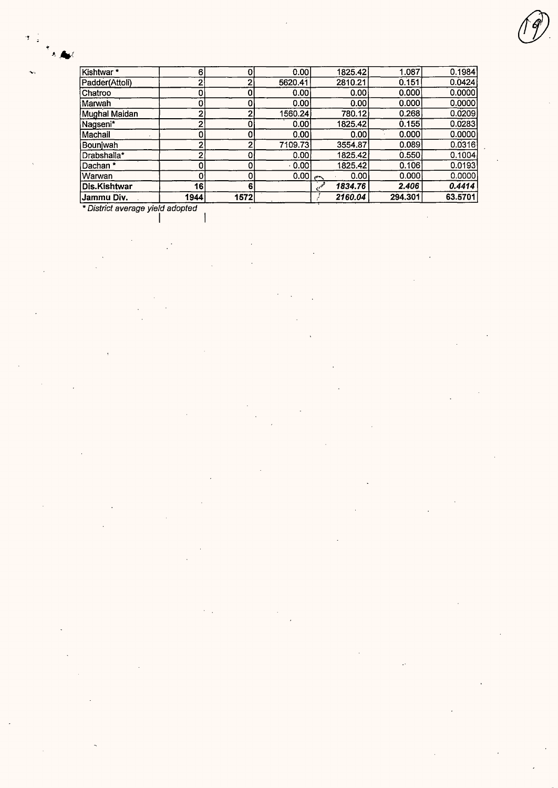| Jammu Div.     | 1944 | 1572 |           | 2160.04 | 294.301 | 63.5701 |
|----------------|------|------|-----------|---------|---------|---------|
| Dis.Kishtwar   | 16   | 6    |           | 1834.76 | 2.406   | 0.4414  |
| Warwan         | 0    |      | $0.00$ ex | 0.00    | 0.000   | 0.0000  |
| Dachan *       | 0    |      | 0.001     | 1825.42 | 0.106   | 0.0193  |
| Drabshalla*    | າ    |      | 0.00      | 1825.42 | 0.550   | 0.1004  |
| Bouniwah       | 2    |      | 7109.73   | 3554.87 | 0.089   | 0.0316  |
| Machail        | 0    |      | 0.00      | 0.001   | 0.000   | 0.0000  |
| Nagseni*       | 2    |      | 0.00      | 1825.42 | 0.155   | 0.0283  |
| Mughal Maidan  | 2    |      | 1560.24   | 780.12  | 0.268   | 0.0209  |
| Marwah         |      |      | 0.00      | 0.001   | 0.000   | 0.0000  |
| Chatroo        |      |      | 0.00      | 0.001   | 0.000   | 0.0000  |
| Padder(Attoli) | າ    | ົ    | 5620.41   | 2810.21 | 0.151   | 0.0424  |
| Kishtwar*      | 6    |      | 0.00      | 1825.42 | 1.087   | 0.1984  |

 $\bar{z}$ 

 $\overline{\phantom{a}}$ 

*{j)* 

l,

\* District average yield adopted

I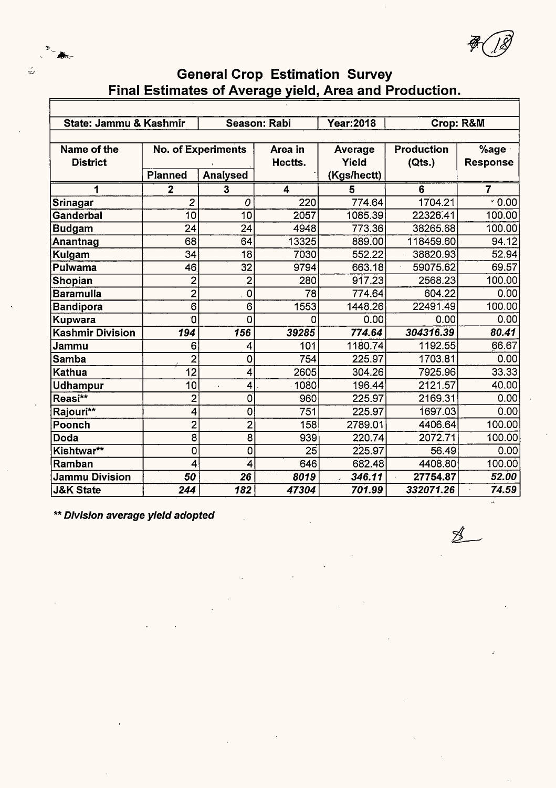

7'-(JJ

## **General Crop Estimation Survey Final Estimates of Average yield, Area and Production.**

| State: Jammu & Kashmir  |                         | <b>Season: Rabi</b>       |          | <b>Year:2018</b> | Crop: R&M         |                 |  |  |  |  |  |
|-------------------------|-------------------------|---------------------------|----------|------------------|-------------------|-----------------|--|--|--|--|--|
|                         |                         |                           |          |                  |                   |                 |  |  |  |  |  |
| Name of the             |                         | <b>No. of Experiments</b> | Area in  | <b>Average</b>   | <b>Production</b> | %age            |  |  |  |  |  |
| <b>District</b>         |                         |                           | Hectts.  | Yield            | (Qts.)            | <b>Response</b> |  |  |  |  |  |
|                         | <b>Planned</b>          | <b>Analysed</b>           |          | (Kgs/hectt)      |                   |                 |  |  |  |  |  |
| 1                       | $\overline{\mathbf{2}}$ | 3                         | 4        | 5                | 6                 | 7               |  |  |  |  |  |
| Srinagar                | $\overline{c}$          | 0                         | 220      | 774.64           | 1704.21           | $\sqrt{2}$ 0.00 |  |  |  |  |  |
| Ganderbal               | 10                      | 10                        | 2057     | 1085.39          | 22326.41          | 100.00          |  |  |  |  |  |
| <b>Budgam</b>           | 24                      | 24                        | 4948     | 773.36           | 38265.68          | 100.00          |  |  |  |  |  |
| Anantnag                | 68                      | 64                        | 13325    | 889.00           | 118459.60         | 94.12           |  |  |  |  |  |
| Kulgam                  | 34                      | 18                        | 7030     | 552.22           | 38820.93          | 52.94           |  |  |  |  |  |
| Pulwama                 | 46                      | 32                        | 9794     | 663.18           | 59075.62          | 69.57           |  |  |  |  |  |
| Shopian                 | $\overline{2}$          | $\overline{2}$            | 280      | 917.23           | 2568.23           | 100.00          |  |  |  |  |  |
| <b>Baramulla</b>        | $\overline{2}$          | $\mathbf 0$               | 78       | 774.64           | 604.22            | 0.00            |  |  |  |  |  |
| Bandipora               | $\overline{6}$          | 6                         | 1553     | 1448.26          | 22491.49          | 100.00          |  |  |  |  |  |
| Kupwara                 | 0                       | 0                         | $\Omega$ | 0.00             | 0.00              | 0.00            |  |  |  |  |  |
| <b>Kashmir Division</b> | 194                     | 156                       | 39285    | 774.64           | 304316.39         | 80.41           |  |  |  |  |  |
| Jammu                   | 6                       | 4                         | 101      | 1180.74          | 1192.55           | 66.67           |  |  |  |  |  |
| <b>Samba</b>            | $\overline{2}$          | 0                         | 754      | 225.97           | 1703.81           | 0.00            |  |  |  |  |  |
| Kathua                  | $\overline{12}$         | 4                         | 2605     | 304.26           | 7925.96           | 33.33           |  |  |  |  |  |
| <b>Udhampur</b>         | 10                      | 4<br>$\overline{a}$       | 1080     | 196.44           | 2121.57           | 40.00           |  |  |  |  |  |
| Reasi**                 | $\overline{c}$          | 0                         | 960      | 225.97           | 2169.31           | 0.00            |  |  |  |  |  |
| Rajouri**               | 4                       | 0                         | 751      | 225.97           | 1697.03           | 0.00            |  |  |  |  |  |
| Poonch                  | $\overline{2}$          | $\overline{2}$            | 158      | 2789.01          | 4406.64           | 100.00          |  |  |  |  |  |
| Doda                    | 8                       | 8                         | 939      | 220.74           | 2072.71           | 100.00          |  |  |  |  |  |
| Kishtwar**              | 0                       | 0                         | 25       | 225.97           | 56.49             | 0.00            |  |  |  |  |  |
| Ramban                  | 4                       | 4                         | 646      | 682.48           | 4408.80           | 100.00          |  |  |  |  |  |
| <b>Jammu Division</b>   | 50                      | 26                        | 8019     | 346.11           | 27754.87          | 52.00           |  |  |  |  |  |
| <b>J&amp;K State</b>    | 244                     | 182                       | 47304    | 701.99           | 332071.26         | 74.59           |  |  |  |  |  |

\*\* **Division average yield adopted** 

 $\cancel{\mathbb{Z}}$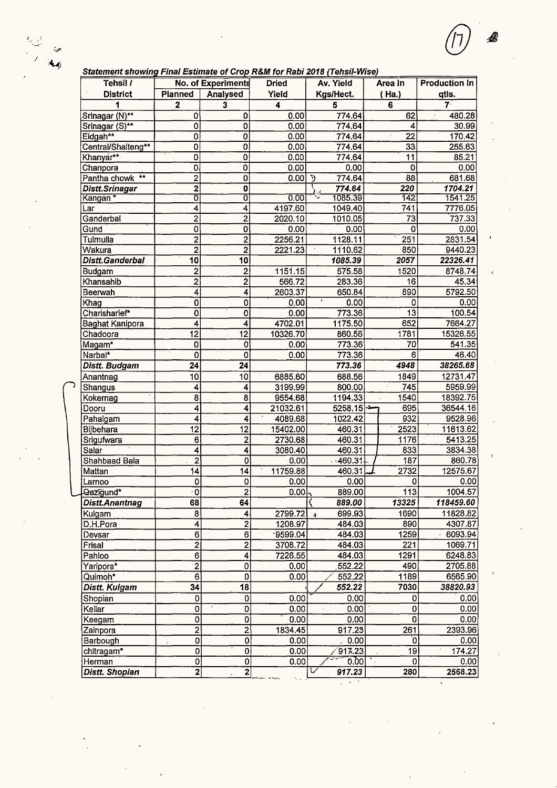$\frac{L_{\text{max}}}{L_{\text{max}}^{2}}$ 

يولي).<br>موليات  $\overline{A}$ 

| Tehsil /               |                                     | No. of Experiments      | <b>Dried</b>      | Av. Yield                   | Area In         | <b>Production In</b> |
|------------------------|-------------------------------------|-------------------------|-------------------|-----------------------------|-----------------|----------------------|
| <b>District</b>        | Planned                             | Analysed                | Yield             | Kgs/Hect.                   | (Ha.)           | qtls.                |
| 1                      | $\mathbf 2$                         | $\mathbf{3}$            | 4                 | 5                           | 6               | $7^{\circ}$          |
| Srinagar (N)**         | 0                                   | 0                       | 0.00              | 774.64                      | 62              | 480.28               |
| Srinagar (S)**         | 0                                   | 0                       | 0.00              | 774.64                      | 4               | 30.99                |
| Eidgah**               | 0                                   | $\overline{0}$          | 0.00              | 774.64                      | 22              | 170.42               |
| Central/Shalteng**     | 0                                   | $\overline{0}$          | 0.00              | 774.64                      | $\overline{33}$ | 255.63               |
| Khanyar**              | 0                                   | 0                       | 0.00              | 774.64                      | 11              | 85.21                |
| Chanpora               | Ō                                   | 0                       | 0.00              | 0.00                        | $\mathbf 0$     | 0.00                 |
| Pantha chowk **        | $\overline{2}$                      | o                       | 0.00              | 774.64<br>$\mathcal{D}$     | $\overline{88}$ | 681.68               |
| Distt.Srinagar         | 2                                   | 0                       |                   | 774.64                      | 220             | 1704.21              |
| Kangan *               | σ                                   | 0                       | 0.00              | 1085.39                     | 142             | 1541.25              |
| Lar                    | 4                                   | 4                       | 4197.60           | 1049.40                     | 741             | 7776.05              |
| Ganderbal              | $\overline{2}$                      | $\overline{\mathbf{c}}$ | 2020.10           | 1010.05                     | 73              | 737.33               |
| Gund                   | 0                                   | $\overline{0}$          | 0.00              | 0.00                        | $\mathbf 0$     | 0.00                 |
| Tulmulla               | $\overline{2}$                      | $\overline{2}$          | 2256.21           | 1128.11                     | 251             | 2831.54              |
| Wakura                 | $\overline{2}$                      | $\overline{2}$          | 2221.23           | 1110.62                     | 850             | 9440.23              |
| Distt.Ganderbal        | 10                                  | 10                      |                   | 1085.39                     | 2057            | 22326.41             |
| Budgam                 | $\overline{2}$                      | $\mathbf 2$             | 1151.15           | 575.58                      | 1520            | 8748.74              |
| Khansahib              | $\overline{2}$                      | $\overline{2}$          | 566.72            | 283.36                      | 16              | 45.34                |
| Beerwah                | 4                                   | $\overline{\bf{4}}$     | 2603.37           | 650.84                      | 890             | 5792.50              |
| Khag                   | 0                                   | 0                       | 0.00              | $\pmb{\mathcal{V}}$<br>0.00 | 0               | 0.00                 |
| Charisharief*          | $\overline{0}$                      | 0                       | 0.00              | 773.36                      | $\overline{13}$ | 100.54               |
| <b>Baghat Kanipora</b> | 4                                   | $\overline{\mathbf{4}}$ | 4702.01           | 1175.50                     | 652             | 7664.27              |
| Chadoora               | 12                                  | 12                      | 10326.70          | 860.56                      | 1781            | 15326.55             |
| Magam*                 | 0                                   | 0                       | 0.00              | 773.36                      | 70              | 541.35               |
| Narbal*                | 0                                   | $\overline{0}$          | 0.00              | 773.36                      | 6               | 46.40                |
| Distt. Budgam          | 24                                  | 24                      |                   | 773.36                      | 4948            | 38265.68             |
| Anantnag               | 10                                  | 10                      | 6885.60           | 688.56                      | 1849            | 12731.47             |
|                        | 4                                   | 4                       | 3199.99           | 800.00                      | 745             | 5959.99              |
| Shangus<br>Kokernag    | $\overline{\mathbf{8}}$             | $\overline{8}$          | 9554.68           | 1194.33                     | 1540            | 18392.75             |
|                        |                                     | 4                       | 21032.61          | 5258.15                     | 695             | 36544.16             |
| Dooru                  | 4<br>4                              | 4                       | 4089.68           | 1022.42                     | 932             | 9528.96              |
| Pahalgam               |                                     |                         |                   | 460.31                      |                 |                      |
| Bijbehara              | $\overline{12}$                     | 12                      | 15402.00          |                             | 2523            | 11613.62             |
| Srigufwara             | 6                                   | $\overline{2}$          | 2730.68           | 460.31                      | 1176            | 5413.25              |
| Salar                  | 4                                   | 4                       | 3080.40           | 460.31                      | 833             | 3834.38              |
| Shahbaad Bala          | $\overline{2}$                      | $\overline{\mathbf{0}}$ | 0.00              | $\frac{1}{1460.31}$         | 187             | 860.78               |
| Mattan                 | 14                                  | $\overline{14}$         | 11759.88          | 460.31                      | 2732            | 12575.67             |
| Larnoo                 | 0                                   | 0                       | 0.00              | 0.00                        | $\mathbf 0$     | 0.00                 |
| Qazigund*              | $\overline{0}$                      | $\overline{2}$          | $0.00$ $\sqrt{ }$ | 889.00                      | 113             | 1004.57              |
| Distt.Anantnag         | 68                                  | 64                      |                   | 889.00                      | 13325           | 118459.60            |
| Kulgam                 | 8                                   | 4                       | 2799.72           | 699.93<br>$\Lambda$         | 1690            | 11828.82             |
| D.H.Pora               | $\overline{4}$                      | $\overline{2}$          | 1208.97           | 484.03                      | 890             | 4307.87              |
| Devsar                 | 6                                   | 6                       | 9599.04           | 484.03                      | 1259            | 6093.94              |
| Frisal                 | $\overline{2}$                      | $\overline{2}$          | 3708.72           | 484.03                      | 221             | 1069.71              |
| Pahloo                 | $\overline{6}$                      | $\overline{\bf 4}$      | 7226.55           | 484.03                      | 1291            | 6248.83              |
| Yaripora*              | $\overline{2}$                      | 0                       | 0.00              | 552.22                      | 490             | 2705.88              |
| Quimoh <sup>*</sup>    | 6                                   | 0                       | 0.00              | 552.22                      | 1189            | 6565.90              |
| Distt. Kulgam          | 34                                  | $\overline{18}$         |                   | 552.22                      | 7030            | 38820.93             |
| Shopian                | 0                                   | $\overline{\mathbf{0}}$ | 0.00              | 0.00                        | 0               | 0.00                 |
| Kellar                 | $\mathbf 0$                         | 0                       | 0.00              | 0.00                        | Ó               | 0.00                 |
| Keegam                 | $\overline{0}$                      | $\overline{\mathbf{0}}$ | 0.00              | 0.00                        | $\overline{0}$  | 0.00                 |
| Zainpora               | $\overline{2}$                      | $\overline{2}$          | 1834.45           | 917.23                      | 261             | 2393.96              |
| Barbough               | $\pmb{\mathsf{O}}$<br>$\pmb{\cdot}$ | $\overline{\mathbf{0}}$ | 0.00              | 0.00                        | O               | 0.00                 |
| chitragam*             | 0                                   | 0                       | 0.00              | $\sqrt{917.23}$             | 19              | 174.27               |
| Herman                 | $\overline{0}$                      | 0                       | 0.00              | 0.00                        | 0               | 0.00                 |
| Distt. Shopian         | $\overline{\mathbf{2}}$             | $\overline{2}$          |                   | سميا<br>917.23              | 280             | 2568.23              |

B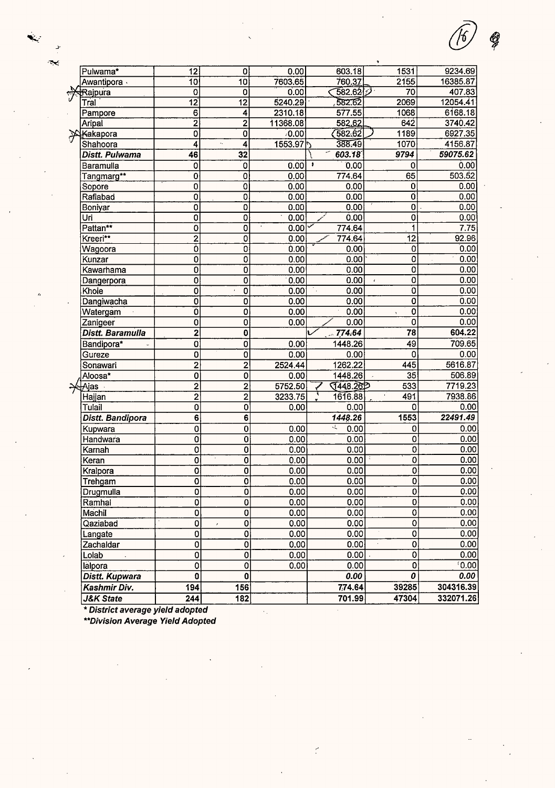| <b>J&amp;K State</b>  | 244                     | 182                        |              | 701.99            | 47304                                      | 332071.26    |
|-----------------------|-------------------------|----------------------------|--------------|-------------------|--------------------------------------------|--------------|
| Kashmir Div.          | 194                     | 156                        |              | 7,74.64           | 39285                                      | 304316.39    |
| Distt. Kupwara        | $\overline{\mathbf{0}}$ | $\pmb{0}$                  |              | 0.00              | 0                                          | 0.00         |
| lalpora               | 0                       | $\overline{0}$             | 0.00         | 0.00              | 0                                          | [0.00]       |
| Lolab                 | $\overline{0}$          | $\overline{0}$             | 0.00         | 0.00              | $\overline{0}$                             | 0.00         |
| Zachaldar             | $\overline{0}$          | $\overline{\mathfrak{o}}$  | 0.00         | 0.00              | 0                                          | 0.00         |
| Langate               | $\bf{0}$                | $\overline{0}$             | 0.00         | 0.00              | $\mathbf 0$                                | 0.00         |
| Qaziabad              | 0                       | 0<br>$\mathcal{E}$         | 0.00         | 0.00              | 0                                          | 0.00         |
| Machil                | 0                       | $\mathbf 0$                | 0.00         | 0.00              | 0                                          | 0.00         |
| Ramhal                | $\pmb{0}$               | $\mathbf{0}$               | 0.00         | 0.00              | $\mathbf 0$                                | 0.00         |
| Drugmulla             | 0                       | $\overline{0}$             | 0.00         | 0.00              | $\mathbf 0$                                | 0.00         |
| Trehgam               | $\overline{0}$          | $\overline{\mathbf{0}}$    | 0.00         | 0.00              | $\overline{\mathbf{0}}$                    | 0.00         |
| Kralpora              | $\overline{0}$          | Ö                          | 0.00         | 0.00              | $\overline{0}$                             | 0.00         |
| Keran                 | $\overline{\mathbf{0}}$ | $\overline{0}$             | 0.00         | 0.00              | $\overline{0}$                             | 0.00         |
| Karnah                | $\overline{\mathbf{o}}$ | $\overline{0}$             | 0.00         | 0.00              | 0                                          | 0.00         |
| Handwara              | 0                       | $\mathbf 0$                | 0.00         | 0.00              | 0                                          | 0.00         |
| Kupwara               | 0                       | 0                          | 0.00         | A.<br>0.00        | 0                                          | 0.00         |
| Distt. Bandipora      | 6                       | 6                          |              | 1448.26           | 1553                                       | 22491.49     |
| Tulail                | $\mathbf 0$             | 0                          | 0.00         | 0.00              | 0                                          | 0.00         |
| Hajjan                | $\overline{2}$          | $\overline{\mathbf{c}}$    | 3233.75      | τ<br>1616.88      | 491                                        | 7938.86      |
| <del>∕√</del> Ajas    | $\overline{2}$          | $\overline{c}$             | 5752.50      | 1448.262          | 533                                        | 7719.23      |
| Aloosa*               | 0                       | $\overline{0}$             | 0.00         | 1448.26           | $\overline{35}$                            | 506.89       |
| Sonawari              | 0<br>$\overline{2}$     | $\overline{2}$             | 2524.44      | 1262.22           | 445                                        | 5616.87      |
| Gureze                | 0                       | 0<br>Ö                     | 0.00         | 0.00              | 0                                          | 0.00         |
| Bandipora*            |                         |                            | 0.00         | 1448.26           | 49                                         | 709.65       |
| Distt. Baramulla      | 2                       | 0                          |              | 774.64            | 78                                         | 604.22       |
| Zanigeer              | 0                       | 0                          | 0.00         | 0.00              | 0                                          | 0.00         |
| Watergam              | 0<br>0                  | 0                          | 0.00         | 0.00              | $\mathbf 0$                                | 0.00         |
| Khoie<br>Dangiwacha   | 0                       | $\mathbf 0$<br>$\mathbf 0$ | 0.00<br>0.00 | 0.00<br>0.00      | o<br>$\overline{\mathbf{o}}$               | 0.00<br>0.00 |
| Dangerpora            | 0                       | $\overline{0}$             | 0.00         | 0.00<br>٠.        | $\mathbf 0$<br>$\mathcal{L}_{\mathcal{A}}$ | 0.00         |
| Kawarhama             | 0                       | $\overline{\mathfrak{o}}$  | 0.00         | 0.00              | 0                                          | 0.00         |
| Kunzar                | 0                       | $\overline{0}$             | 0.00         | 0.00              | 0                                          | 0.00         |
| Wagoora               | 0                       | 0                          | 0.00         | 0.00              | 0                                          | 0.00         |
| Kreeri**              | $\overline{c}$          | $\mathbf 0$                | 0.00         | 774.64            | 12                                         | 92.96        |
| Pattan**              | 0                       | $\mathbf 0$                | 0.00         | 774.64            | 1                                          | 7.75         |
| Uri                   | 0                       | $\overline{0}$             | 0.00         | 0.00              | $\mathbf 0$                                | 0.00         |
| Boniyar               | 0                       | $\overline{0}$             | 0.00         | 0.00              | $\mathbf 0$                                | 0.00         |
| Rafiabad              | 0                       | $\overline{0}$             | 0.00         | 0.00              | O                                          | 0.00         |
| Sopore                | 0                       | $\overline{0}$             | 0.00         | 0.00              | 0                                          | 0.00         |
| Tangmarg**            | 0                       | $\mathbf 0$                | 0.00         | 774.64            | 65                                         | 503.52       |
| Baramulla             | $\mathbf 0$             | 0                          | 0.00         | 0.00<br>$\bullet$ | 0                                          | 0.00         |
| Distt. Pulwama        | 46                      | 32                         |              | 603.18            | 9794                                       | 59075.62     |
| Shahoora              | 4                       | k,<br>4                    | 1553.97      | 388.49            | 1070                                       | 4156.87      |
| <u> Kakapora</u><br>X | 0                       | $\overline{0}$             | 0.00         | (582.62)          | 1189                                       | 6927.35      |
| Aripal                | $\overline{2}$          | $\overline{2}$             | 11368.08     | 582.62            | 642                                        | 3740.42      |
| Pampore               | 6                       | 4                          | 2310.18      | 577.55            | 1068                                       | 6168.18      |
| Tral                  | $\overline{12}$         | $\overline{12}$            | 5240.29      | 582.62            | 2069                                       | 12054.41     |
| Rajpura               | 0                       | 0                          | 0.00         | 582.627           | 70                                         | 407.83       |
| Awantipora ·          | $\overline{10}$         | 10                         | 7603.65      | 760.37            | 2155                                       | 16385.87     |
| Pulwama*              | 12                      | 0                          | 0.00         | 603.18            | 1531                                       | 9234.69      |

 $\bar{E}$ 

 $\tilde{\zeta}$ 

G

\* District average yield adopted<br>\*\*Division Average Yield Adopted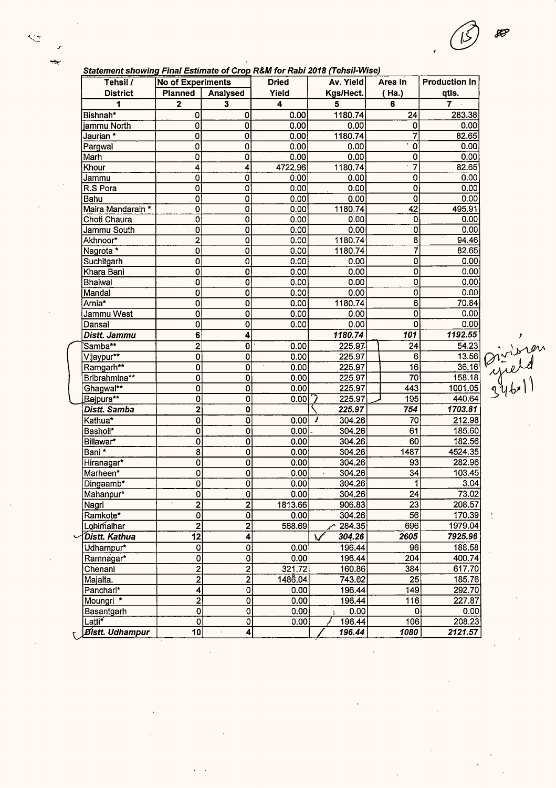$\lambda$ 

*\_r* 

 $\frac{1}{\sqrt{2}}$ 

| Statement showing Final Estimate of Crop R&M for Rabi 2018 (Tehsil-Wise)<br><u>in the second contract of the second contract of the second contract of the second contract of the second contract of the second contract of the second contract of the second contract of the second contract of the second </u> |  |  |  |  |
|------------------------------------------------------------------------------------------------------------------------------------------------------------------------------------------------------------------------------------------------------------------------------------------------------------------|--|--|--|--|
|------------------------------------------------------------------------------------------------------------------------------------------------------------------------------------------------------------------------------------------------------------------------------------------------------------------|--|--|--|--|

| Tehsil /                      | <b>No of Experiments</b> |                         | <b>Dried</b>      | Av. Yield               | Area In         | <b>Production In</b>   |
|-------------------------------|--------------------------|-------------------------|-------------------|-------------------------|-----------------|------------------------|
| <b>District</b>               | <b>Planned</b>           | Analysed                | Yield             | Kgs/Hect.               | (Ha.)           | qtls.                  |
| 1                             | 2                        | 3                       | 4                 | 5                       | 6               | $7 -$                  |
| Bishnah*                      | 0                        | 0                       | 0.00              | 1180.74                 | 24              | 283.38                 |
| iammu North                   | 0                        | $\overline{0}$          | 0.00              | 0.00                    | 0               | 0.00                   |
| Jaurian *                     | 0                        | $\overline{0}$          | 0.00              | 1180.74                 | 7               | 82.65                  |
| Pargwal                       | 0                        | 0                       | 0.00              | 0.00                    | 0               | 0.00                   |
| Marh                          | 0                        | 0                       | 0.00              | 0.00                    | 0               | 0.00                   |
| Khour                         | 4                        | 4                       | 4722.96           | 1180.74                 | 7               | 82.65                  |
| Jammu                         | 0                        | 0                       | 0.00 <sub>1</sub> | 0.00                    | 0               | 0.00                   |
| R.S Pora                      | 0                        | 0                       | 0.00              | 0.00                    | 0               | 0.00                   |
| Bahu                          | $\overline{\mathbf{o}}$  | $\overline{0}$          | 0.00              | 0.00                    | $\overline{0}$  | 0.00                   |
| Maira Mandarain *             | 0                        | 0                       | 0.00              | 1180.74                 | $\overline{42}$ | 495,91                 |
| Choti Chaura                  | 0                        | 0                       | 0.00              | 0.00                    | 0               | 0.00                   |
| Jammu South                   | 0                        | 0                       | 0.00              | 0.00                    | 0               | 0.00                   |
| Akhnoor*                      | $\overline{2}$           | 0                       | 0.00              | 1180.74                 | $\overline{8}$  | 94.46                  |
| Nagrota *                     | 0                        | 0                       | 0.00              | 1180.74                 | 7               | 82.65                  |
| Suchitgarh                    | 0                        | 0                       | 0.00              | 0.00                    | 0               | 0.00                   |
| Khara Bani                    | 0                        | $\overline{\mathbf{0}}$ | 0.00              | 0.00                    | $\overline{0}$  | 0.00                   |
| Bhalwal                       | 0                        | 0                       | 0.00              | 0.00                    | $\overline{0}$  | 0.00                   |
| Mandal                        | 0                        | $\overline{\mathbf{0}}$ | 0.00              | 0.00                    | 0               | 0.00                   |
| Arnia*                        | 0                        | 0                       | 0.00              | 1180.74                 | 6               | 70.84                  |
| Jammu West                    | 0                        | 0                       | 0.00              | 0.00                    | 0               | 0.00                   |
| Dansal                        | 0                        | 0                       | 0.00              | 0.00                    | $\Omega$        | 0.00                   |
| Distt. Jammu                  | 6                        | 4                       |                   | 1180.74                 | 101             | 1192.55                |
| Samba**                       | $\overline{\mathbf{c}}$  | 0                       | 0.00              | 225.97                  | 24              | 54.23<br>$\frac{1}{2}$ |
| Vijaypur**                    | 0                        | 0                       | 0.00              | 225.97                  | 6               | 13.56                  |
| Ramgarh**                     | 0                        | 0                       | 0.00              | 225.97                  | $\overline{16}$ | 36.16                  |
| Bribrahmina**                 | 0                        | 0                       | 0.00              | 225.97                  | 70              | 158.18                 |
| Ghagwal**                     | 0                        | 0                       | 0.00              | 225.97                  | 443             | 1001.05                |
| Rajpura**                     | $\mathbf 0$              | 0                       | 0.00              | 225.97                  | 195             | 440.64                 |
| Distt. Samba                  | 2                        | 0                       |                   | 225.97                  | 754             | 1703.81                |
| Kathua*                       | 0                        | 0                       | 0.00              | 304.26<br>,             | 70              | 212.98                 |
| Basholi*                      | 0                        | 0                       | 0.00              | 304.26                  | 61              | 185.60                 |
| Billawar*                     | $\bf{0}$                 | 0                       | 0.00              | 304.26                  | 60              | 182.56                 |
| Bani *                        | 8                        | 0                       | 0.00              | 304.26                  | 1487            | 4524.35                |
| Hiranagar*                    | $\overline{0}$           | 0                       | 0.00              | 304.26                  | 93              | 282.96                 |
| Marheen*                      | $\overline{0}$           | 0                       | 0.00              | 304.26                  | 34              | 103.45                 |
| Dingaamb*                     | Ö                        | 0                       | 0.00              | 304.26                  | 1               | 3.04                   |
| Mahanpur*                     | 0                        | $\overline{0}$          | 0.00              | 304.26                  | 24              | 73.02                  |
| Nagri                         | $\overline{2}$           | $\overline{2}$          | 1813.66           | 906.83                  | $\overline{23}$ | 208.57                 |
| Ramkote*                      | $\pmb{0}$                | 0                       | 0.00              | 304.26                  | 56              | 170.39                 |
| Lohimalhar                    | $\overline{2}$           | $\overline{2}$          | 568.69            | 284.35                  | 696             | 1979.04                |
| Distt. Kathua                 | $\overline{12}$          | 4                       |                   | 304.26<br>$\mathcal{N}$ | 2605            | 7925.96                |
| Udhampur*                     | $\mathbf 0$              | 0                       | 0.00              | 196.44                  | 96              | 188.58                 |
| Ramnagar*                     | $\overline{0}$           | 0                       | 0.00              | 196.44                  | 204             | 400.74                 |
| Chenani                       | $\overline{2}$           | $\overline{2}$          | 321.72            | 160.86                  | 384             | 617.70                 |
| Majalta.                      | $\overline{2}$           | 2                       | 1486.04           | 743.02                  | 25              | 185.76                 |
| Panchari*                     | 4                        | $\mathbf 0$             | 0.00              | 196.44                  | 149             | 292.70                 |
| Moungri *                     | $\overline{2}$           | $\overline{\mathbf{0}}$ | 0.00              | 196.44                  | 116             | 227.87                 |
| Basantgarh                    | $\overline{0}$           | $\overline{0}$          | 0.00              | 0.00                    | $\Omega$        | 0.00                   |
| Latti <sup>*</sup>            | $\overline{0}$           | $\mathbf{0}$            | 0.00              | 196.44                  | 106             | 208.23                 |
| <i><b>Distt. Udhampur</b></i> | $\overline{10}$          | 4                       |                   | 196.44                  | 1080            | 2121.57                |

 $\ddot{\phantom{0}}$ 

 $\ddot{\phantom{a}}$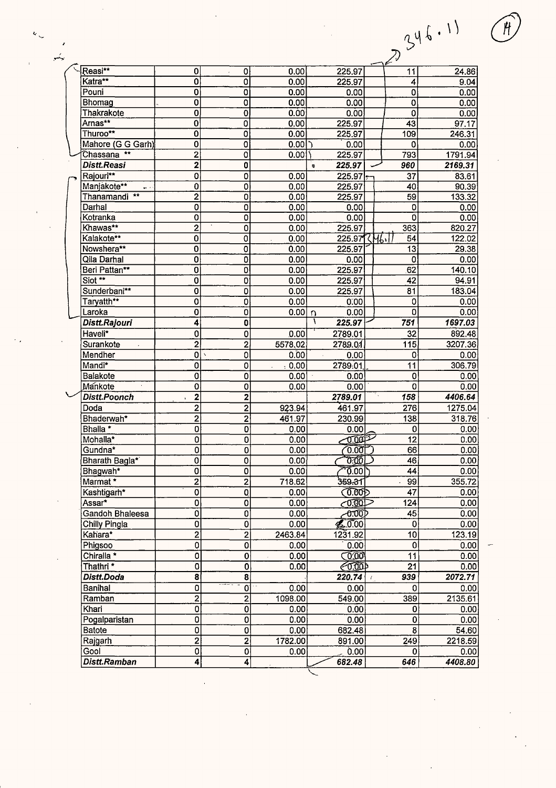|                                |                                           |                           |              |                                                                                                                                                                                                                                                                                                                                                                                      |                      | 346.11            |
|--------------------------------|-------------------------------------------|---------------------------|--------------|--------------------------------------------------------------------------------------------------------------------------------------------------------------------------------------------------------------------------------------------------------------------------------------------------------------------------------------------------------------------------------------|----------------------|-------------------|
|                                |                                           |                           |              |                                                                                                                                                                                                                                                                                                                                                                                      |                      |                   |
|                                |                                           |                           |              |                                                                                                                                                                                                                                                                                                                                                                                      |                      |                   |
|                                |                                           |                           |              |                                                                                                                                                                                                                                                                                                                                                                                      | 7.,                  |                   |
| Reasi**                        |                                           |                           |              |                                                                                                                                                                                                                                                                                                                                                                                      |                      |                   |
| Katra**                        | 0<br>0                                    | 0<br>0                    | 0.00<br>0.00 | 225.97<br>225.97                                                                                                                                                                                                                                                                                                                                                                     | 11<br>4              | 24.86             |
| Pouni                          | 0                                         | 0                         | 0.00         | 0.00                                                                                                                                                                                                                                                                                                                                                                                 | 0                    | 9.04<br>0.00      |
| Bhomag                         | 0                                         | 0                         | 0.00         | 0.00                                                                                                                                                                                                                                                                                                                                                                                 | 0                    | 0.00              |
| Thakrakote                     | $\overline{0}$                            | 0                         | 0.00         | 0.00                                                                                                                                                                                                                                                                                                                                                                                 | 0                    | 0.00              |
| Arnas**                        | $\overline{\mathbf{0}}$                   | $\overline{0}$            | 0.00         | 225.97                                                                                                                                                                                                                                                                                                                                                                               | 43                   | 97.17             |
| Thuroo**                       | $\overline{0}$                            | 0                         | 0.00         | 225.97                                                                                                                                                                                                                                                                                                                                                                               | 109                  | 246.31            |
| Mahore (G G Garh)              | $\overline{0}$                            | 0                         | $0.00$  )    | 0.00                                                                                                                                                                                                                                                                                                                                                                                 | 0                    | 0.00              |
| $***$<br>Ćhassana              | $\overline{2}$                            | 0                         | 0.00         | 225.97                                                                                                                                                                                                                                                                                                                                                                               | 793                  | 1791.94           |
| Distt.Reasi                    | $\overline{\mathbf{2}}$                   | 0                         |              | 225.97                                                                                                                                                                                                                                                                                                                                                                               | 960                  | 2169.31           |
| Rajouri**                      | $\overline{0}$                            | 0                         | 0.00         | $225.97\div$                                                                                                                                                                                                                                                                                                                                                                         | 37                   | 83.61             |
| Manjakote**<br>                | $\overline{0}$                            | 0                         | 0.00         | 225.97                                                                                                                                                                                                                                                                                                                                                                               | 40                   | 90.39             |
| Thanamandi <sup>**</sup>       | $\overline{2}$                            | 0                         | 0.00         | 225.97                                                                                                                                                                                                                                                                                                                                                                               | 59                   | 133.32            |
| Darhal                         | $\overline{0}$                            | $\overline{0}$            | 0.00         | 0.00                                                                                                                                                                                                                                                                                                                                                                                 | 0                    | 0.00              |
| Kotranka                       | $\overline{0}$                            | $\overline{O}$            | 0.00         | 0.00                                                                                                                                                                                                                                                                                                                                                                                 | Ó                    | 0.00              |
| Khawas**                       | $\overline{2}$                            | 0                         | 0.00         | 225.97                                                                                                                                                                                                                                                                                                                                                                               | 363                  | 820.27            |
| Kalakote**                     | $\overline{0}$                            | 0                         | 0.00         | 225.97                                                                                                                                                                                                                                                                                                                                                                               | .M6.II<br>54         | 122.02            |
| Nowshera**                     | $\overline{\mathbf{0}}$                   | 0                         | 0.00         | 225.97                                                                                                                                                                                                                                                                                                                                                                               | 13                   | 29.38             |
| Qila Darhal                    | $\overline{0}$                            | 0                         | 0.00         | 0.00                                                                                                                                                                                                                                                                                                                                                                                 | $\mathbf 0$          | 0.00              |
| Beri Pattan**                  | $\overline{0}$                            | 0                         | 0.00         | 225.97                                                                                                                                                                                                                                                                                                                                                                               | 62                   | 140.10            |
| Siot **                        | $\overline{\mathfrak{o}}$                 | 0                         | 0.00         | 225.97                                                                                                                                                                                                                                                                                                                                                                               | 42                   | 94.91             |
| Sunderbani**                   | $\overline{\mathfrak{o}}$                 | $\mathbf 0$               | 0.00         | 225.97                                                                                                                                                                                                                                                                                                                                                                               | 81                   | 183.04            |
| Taryatth**                     | $\overline{0}$                            | $\mathbf 0$               | 0.00         | 0:00                                                                                                                                                                                                                                                                                                                                                                                 | 0                    | 0.00              |
| Laroka                         | $\bf{0}$                                  | 0                         | 0.00         | 0.00<br>n                                                                                                                                                                                                                                                                                                                                                                            | 0                    | 0.00              |
| Distt.Rajouri                  | 4                                         | 0                         |              | ١<br>225.97                                                                                                                                                                                                                                                                                                                                                                          | 751                  | 1697.03           |
| Haveli*                        | $\overline{0}$                            | 0                         | 0.00         | 2789.01                                                                                                                                                                                                                                                                                                                                                                              | 32                   | 892.48            |
| Surankote                      | $\overline{2}$                            | $\overline{a}$            | 5578,02      | 2789.01                                                                                                                                                                                                                                                                                                                                                                              | 115                  | 3207.36           |
| Mendher                        | $\overline{0}$                            | 0<br>$\mathbf{v}$         | 0.00         | 0.00<br>$\mathcal{L}$                                                                                                                                                                                                                                                                                                                                                                | 0                    | 0.00              |
| Mandi*                         | Ö                                         | 0                         | .0,00        | 2789.01                                                                                                                                                                                                                                                                                                                                                                              | 11                   | 306.79            |
| Balakote                       | $\overline{0}$                            | 0                         | 0.00         | 0.00                                                                                                                                                                                                                                                                                                                                                                                 | 0                    | 0.00              |
| Mankote                        | $\overline{0}$                            | $\overline{0}$            | 0.00         | 0.00                                                                                                                                                                                                                                                                                                                                                                                 | $\overline{0}$       | 0.00              |
| <b>Distt.Poonch</b>            | $\overline{\mathbf{c}}$                   | 2                         |              | 2789.01                                                                                                                                                                                                                                                                                                                                                                              | 158<br>۰,            | 4406.64           |
| Doda                           | $\overline{2}$                            | $\overline{2}$            | 923.94       | 461.97                                                                                                                                                                                                                                                                                                                                                                               | 276                  | 1275.04           |
| Bhaderwah*                     | $\overline{c}$                            | 2                         | 461.97       | 230.99                                                                                                                                                                                                                                                                                                                                                                               | 138                  | 318.76            |
| Bhalla <sup>*</sup>            | 0                                         | $\mathbf{0}$              | 0.00         | 0.00                                                                                                                                                                                                                                                                                                                                                                                 | 0                    | 0.00              |
| Mohalla <sup>*</sup>           | $\overline{0}$                            | $\overline{0}$            | 0.00         | $\overline{0.001}$                                                                                                                                                                                                                                                                                                                                                                   | $\overline{12}$      | 0.00              |
| Gundna*                        | $\overline{0}$                            | 0                         | 0.00         | 0.001                                                                                                                                                                                                                                                                                                                                                                                | 66                   | 0.00              |
| Bharath Bagla*                 | $\overline{0}$                            | 0                         | 0.00         | $\overline{0}$ $\overline{0}$ $\overline{0}$ $\overline{0}$ $\overline{0}$ $\overline{0}$ $\overline{0}$ $\overline{0}$ $\overline{0}$ $\overline{0}$ $\overline{0}$ $\overline{0}$ $\overline{0}$ $\overline{0}$ $\overline{0}$ $\overline{0}$ $\overline{0}$ $\overline{0}$ $\overline{0}$ $\overline{0}$ $\overline{0}$ $\overline{0}$ $\overline{0}$ $\overline{0}$ $\overline{$ | 46                   | 0.00              |
| Bhagwah*                       | $\overline{0}$                            | 0                         | 0.00         | 0.00                                                                                                                                                                                                                                                                                                                                                                                 | 44                   | 0.00              |
| Marmat*                        | $\overline{2}$                            | $\overline{2}$            | 718.62       | 359.31                                                                                                                                                                                                                                                                                                                                                                               | 99                   | 355.72            |
| Kashtigarh*                    | $\overline{0}$                            | 0                         | 0.00         | <b>(0.00)</b>                                                                                                                                                                                                                                                                                                                                                                        | 47                   | 0.00              |
| Assar*                         | $\mathbf 0$                               | 0                         | 0.00         |                                                                                                                                                                                                                                                                                                                                                                                      | 124                  | 0.00              |
| Gandoh Bhaleesa                | $\mathbf 0$                               | 0                         | 0.00         | ∕0.00⊅                                                                                                                                                                                                                                                                                                                                                                               | 45                   | 0.00              |
| Chilly Pingla                  | $\mathbf 0$                               | $\overline{0}$            | 0.00         | 20.00                                                                                                                                                                                                                                                                                                                                                                                | 0                    | 0.00              |
| Kahara*                        | $\overline{2}$                            | $\overline{2}$            | 2463.84      | 1231.92                                                                                                                                                                                                                                                                                                                                                                              | 10                   | 123.19            |
| Phigsoo                        | $\overline{0}$                            | 0                         | 0.00         | 0.00                                                                                                                                                                                                                                                                                                                                                                                 | 0                    | 0.00              |
| Chiralla <sup>*</sup>          | 0                                         | 0                         | 0.00<br>¥,   | $\bigcirc$ 0.00                                                                                                                                                                                                                                                                                                                                                                      | 11                   | 0.00              |
| Thathri *                      | $\overline{0}$<br>$\overline{\mathbf{8}}$ | $\overline{\mathfrak{o}}$ | 0.00         | $\bigotimes$                                                                                                                                                                                                                                                                                                                                                                         | 21                   | 0.00              |
| Distt.Doda                     |                                           | $\overline{\mathbf{8}}$   |              | 220.74                                                                                                                                                                                                                                                                                                                                                                               | 939<br>$\rightarrow$ | 2072.71           |
| Banihal                        | $\overline{0}$                            | $\overline{0}$            | 0.00         | 0.00                                                                                                                                                                                                                                                                                                                                                                                 | 0                    | 0.00              |
| Ramban                         | $\overline{2}$                            | $\overline{2}$            | 1098.00      | 549.00                                                                                                                                                                                                                                                                                                                                                                               | 389                  | 2135.61           |
| Khari                          | 0                                         | 0<br>$\overline{0}$       | 0.00         | 0.00                                                                                                                                                                                                                                                                                                                                                                                 | 0                    | 0.00              |
| Pogalparistan<br><b>Batote</b> | 0                                         | $\mathbf 0$               | 0.00         | 0.00<br>682.48                                                                                                                                                                                                                                                                                                                                                                       | 0<br>8               | 0.00 <sub>1</sub> |
| Rajgarh                        | 0                                         | $\overline{2}$            | 0.00         |                                                                                                                                                                                                                                                                                                                                                                                      |                      | 54.60<br>2218.59  |
| Gool                           | 2<br>0                                    | $\mathbf{0}$              | 1782.00      | 891.00<br>0.00                                                                                                                                                                                                                                                                                                                                                                       | 249<br>0             |                   |
| Distt.Ramban                   | 4                                         | $\overline{\mathbf{4}}$   | 0.00         | 682.48                                                                                                                                                                                                                                                                                                                                                                               | 646                  | 0.00<br>4408.80   |
|                                |                                           |                           |              |                                                                                                                                                                                                                                                                                                                                                                                      |                      |                   |

 $\mathcal{L}$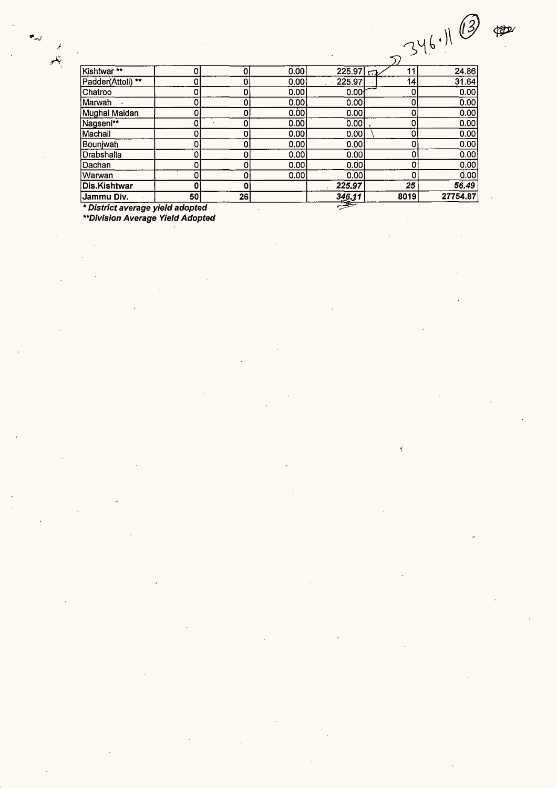$\hat{\mathbf{y}}$ 

|                                                   |    |              |      |        |                | (3)<br>346.11 |  |  |  |
|---------------------------------------------------|----|--------------|------|--------|----------------|---------------|--|--|--|
|                                                   |    |              |      |        |                |               |  |  |  |
| Kishtwar**                                        | 0  | οI           | 0.00 | 225.97 | 11<br>$\sigma$ | 24.86         |  |  |  |
| Padder(Attoli) **                                 | 0  | ٥l           | 0.00 | 225.97 | 14             | 31.64         |  |  |  |
| Chatroo                                           | 0  | $\mathbf{O}$ | 0.00 | 0.00   | 0              | 0.00          |  |  |  |
| Marwah                                            | 0  | $\Omega$     | 0.00 | 0.00   | 0              | 0.00          |  |  |  |
| Mughal Maidan                                     | 0. | 0            | 0.00 | 0.00   | 0              | 0.00          |  |  |  |
| Nagseni**                                         | 0  | 0            | 0.00 | 0.00   | 0              | 0.00          |  |  |  |
| Machail                                           | 0  | 0            | 0.00 | 0.00   | 0              | 0.00          |  |  |  |
| Bounjwah                                          | 0  | ٥l           | 0.00 | 0.00   | 0              | 0.00          |  |  |  |
| Drabshalla                                        | 0  | 0            | 0.00 | 0.00   | 0              | 0.00          |  |  |  |
| Dachan                                            | 0  | o            | 0.00 | 0.00   | 0              | 0.00          |  |  |  |
| Warwan                                            | 0  | 0            | 0.00 | 0.00   | 0              | 0.00          |  |  |  |
| Dis.Kishtwar                                      | 0  | $\mathbf{0}$ |      | 225,97 | 25             | 56.49         |  |  |  |
| Jammu Div.                                        | 50 | 26           |      | 346.11 | 8019           | 27754.87      |  |  |  |
| $\Rightarrow$<br>* District average yield adopted |    |              |      |        |                |               |  |  |  |

 $\ddot{\phantom{0}}$ 

\* District average yield adopted<br>\* District average yield adopted

 $\mathbf{M}_{\text{max}}$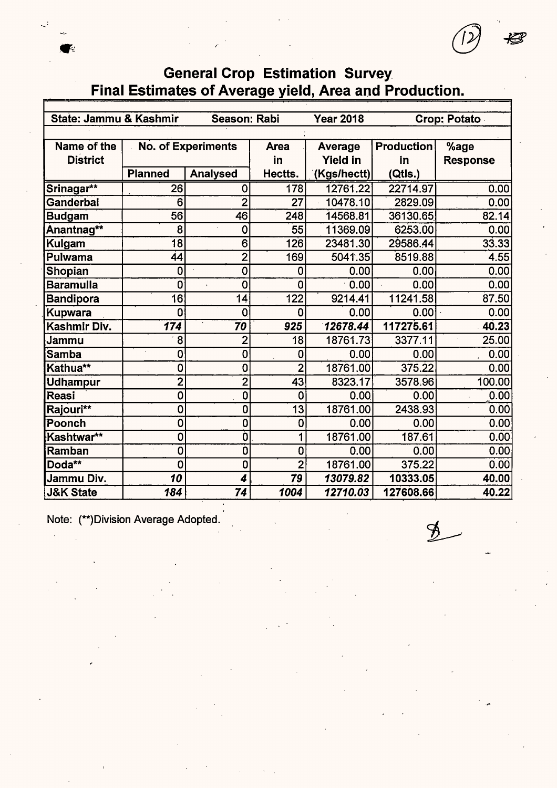# **General Crop Estimation Survey** Final Estimates of Average yield, Area and Production.

| State: Jammu & Kashmir |                 | Season: Rabi              |                | <b>Year 2018</b> |                   | Crop: Potato       |  |  |
|------------------------|-----------------|---------------------------|----------------|------------------|-------------------|--------------------|--|--|
|                        |                 |                           |                |                  |                   |                    |  |  |
| Name of the            |                 | <b>No. of Experiments</b> | <b>Area</b>    | Average          | <b>Production</b> | %age               |  |  |
| <b>District</b>        |                 |                           | in             | <b>Yield in</b>  | in                | <b>Response</b>    |  |  |
|                        | <b>Planned</b>  | <b>Analysed</b>           | Hectts.        | (Kgs/hectt)      | (Qtls.)           |                    |  |  |
| Srinagar**             | 26              | 0                         | 178            | 12761.22         | 22714.97          | 0.00               |  |  |
| Ganderbal              | 6               | $\overline{2}$            | 27             | 10478.10         | 2829.09           | 0.00               |  |  |
| <b>Budgam</b>          | 56              | 46                        | 248            | 14568.81         | 36130.65          | 82.14              |  |  |
| Anantnag**             | 8               | 0                         | 55             | 11369.09         | 6253.00           | 0.00               |  |  |
| <b>Kulgam</b>          | $\overline{18}$ | 6                         | 126            | 23481.30         | 29586.44          | $33.\overline{33}$ |  |  |
| Pulwama                | 44              | $\overline{\mathbf{2}}$   | 169            | 5041.35          | 8519.88           | 4.55               |  |  |
| Shopian                | 0               | $\mathbf 0$               | 0              | 0.00             | 0.00              | 0.00               |  |  |
| <b>Baramulla</b>       | 0               | $\overline{0}$            | 0              | 0.00             | 0.00              | 0.00               |  |  |
| <b>Bandipora</b>       | 16              | 14                        | 122            | 9214.41          | 11241.58          | 87.50              |  |  |
| Kupwara                | $\overline{0}$  | 0                         | 0              | 0.00             | 0.00              | 0.00               |  |  |
| Kashmir Div.           | 174             | 70                        | 925            | 12678.44         | 117275.61         | 40.23              |  |  |
| Jammu                  | 8               | $\overline{2}$            | 18             | 18761.73         | 3377.11           | 25.00              |  |  |
| Samba                  | 0               | $\mathbf 0$               | 0              | 0.00             | 0.00              | 0.00               |  |  |
| Kathua**               | 0               | 0                         | $\overline{2}$ | 18761.00         | 375.22            | 0.00               |  |  |
| <b>Udhampur</b>        | $\overline{2}$  | $\overline{2}$            | 43             | 8323.17          | 3578.96           | 100.00             |  |  |
| Reasi                  | $\bf{0}$        | $\mathbf 0$               | $\overline{0}$ | 0.00             | 0.00              | 0.00               |  |  |
| Rajouri**              | $\bf{0}$        | $\overline{0}$            | 13             | 18761.00         | 2438.93           | 0.00               |  |  |
| <b>Poonch</b>          | 0               | 0                         | $\mathbf 0$    | 0.00             | 0.00              | 0.00               |  |  |
| Kashtwar**             | 0               | Ò                         | 1              | 18761.00         | 187.61            | 0.00               |  |  |
| Ramban                 | $\mathbf 0$     | $\overline{0}$            | 0              | 0.00             | 0.00              | 0.00               |  |  |
| Doda**                 | 0               | $\mathbf 0$               | $\overline{2}$ | 18761.00         | 375.22            | 0.00               |  |  |
| Jammu Div.             | 10              | 4                         | 79             | 13079.82         | 10333.05          | 40.00              |  |  |
| <b>J&amp;K State</b>   | 184             | 74                        | 1004           | 12710.03         | 127608.66         | 40.22              |  |  |

Note: (\*\*) Division Average Adopted.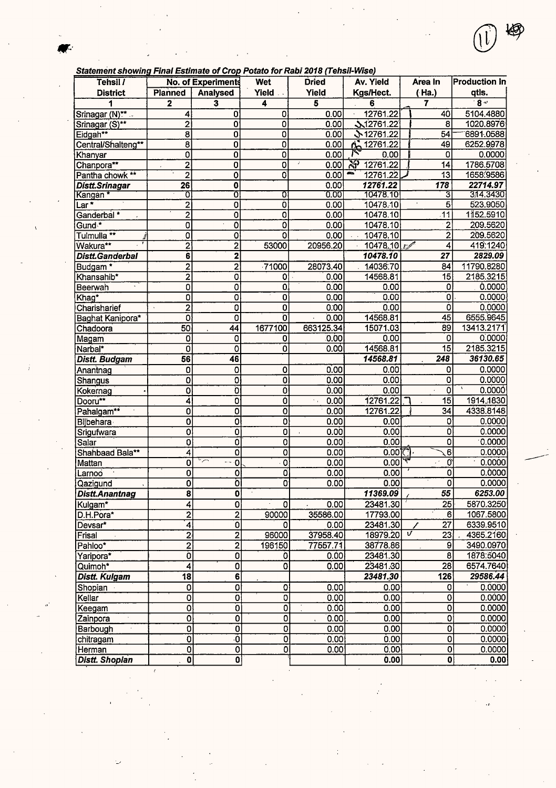|  | tatement showing Final Estimate of Crop Potato for Rabi 2018 (Tehsil-Wise) |  |
|--|----------------------------------------------------------------------------|--|
|  |                                                                            |  |

| Statement showing Final Estimate of Crop Potato for Rabi 2018 (Tensil-Wise)<br>Tehsil / |                           | No. of Experiments             | Wet                       | <b>Dried</b>               | Av. Yield                 | Area In                 | <b>Production in</b> |
|-----------------------------------------------------------------------------------------|---------------------------|--------------------------------|---------------------------|----------------------------|---------------------------|-------------------------|----------------------|
| <b>District</b>                                                                         | Planned                   | <b>Analysed</b>                | Yield                     | Yield                      | Kgs/Hect.                 | (Ha.)                   | qtls.                |
| 1                                                                                       | $\mathbf 2$               | $\overline{\mathbf{3}}$        | 4                         | $\overline{\mathbf{5}}$    | 6                         | 7                       | $8 -$                |
| Srinagar (N)**                                                                          | 4                         | $\mathbf{0}$                   | O                         | 0.00                       | 12761.22                  | 40                      | 5104.4880            |
| Srinagar (S)**                                                                          | $\overline{2}$            | $\overline{\mathfrak{o}}$      | $\overline{\mathbf{0}}$   | 0.00                       | 12761.22                  | 8                       | 1020.8976            |
| Eidgah**                                                                                | $\overline{\mathbf{8}}$   | $\overline{0}$                 | $\overline{\mathbf{0}}$   | 0.00                       | ♪ 12761.22                | 54                      | 6891.0588            |
| Central/Shalteng**                                                                      | 8                         | 0                              | $\overline{\mathbf{o}}$   | 0.00                       | A 12761.22                | 49                      | 6252.9978            |
| Khanyar                                                                                 | 0                         | 0                              | $\overline{0}$            | 0.00                       | 0.00                      | 0                       | 0.0000               |
| Chanpora**                                                                              | $\overline{2}$            | $\overline{\mathbf{0}}$        | $\overline{\mathfrak{o}}$ | 0.00                       | $\mathcal{Z}$<br>12761.22 | 14                      | 1786.5708            |
| Pantha chowk **                                                                         | $\overline{2}$            | $\overline{\mathfrak{o}}$      | $\overline{\mathbf{o}}$   | 0.00                       | æa<br>12761.22            | 13                      | 1658.9586            |
| Distt.Srinagar                                                                          | $\overline{26}$           | 0                              |                           | 0.00                       | 12761.22                  | $\overline{178}$        | 22714.97             |
| Kangan *                                                                                | Ō                         | σ                              | 0                         | 0.00                       | 10478.10                  | 3                       | 314.3430             |
| Lar *                                                                                   | $\overline{\mathbf{c}}$   | $\overline{0}$                 | ō                         | 0.00                       | 10478.10                  | 5                       | 523.9050             |
| Ganderbal <sup>*</sup>                                                                  | $\overline{2}$            | $\overline{0}$                 | $\overline{0}$            | 0.00                       | 10478.10                  | $\overline{11}$         | 1152.5910            |
| Gund <sup>*</sup>                                                                       | 0                         | $\overline{\mathfrak{o}}$      | Ò                         | 0.00                       | 10478.10                  | $\overline{c}$          | 209.5620             |
| Tulmulla <sup>**</sup>                                                                  | Ō                         | $\overline{\mathfrak{o}}$      | 0                         | 0.00                       | 10478.10                  | $\overline{c}$          | 209.5620             |
| Wakura**                                                                                | 2                         | $\overline{2}$                 | 53000                     | 20956.20                   | 10478.10                  | 4                       | 419:1240             |
| Distt.Ganderbal                                                                         | 6                         | 2                              |                           |                            | 10478.10                  | 27                      | 2829.09              |
| Budgam <sup>*</sup>                                                                     | $\overline{2}$            | $\overline{2}$                 | $-71000$                  | 28073.40                   | 14036.70                  | 84                      | 11790.8280           |
| Khansahib*                                                                              | $\overline{2}$            | $\overline{\mathfrak{o}}$      | 0                         | 0.00                       | 14568.81                  | 15                      | 2185.3215            |
| Beerwah                                                                                 | Q                         | $\overline{0}$                 | 0                         | 0.00                       | 0.00                      | 0                       | 0.0000               |
| Khag*                                                                                   | Ó                         | $\overline{\mathfrak{o}}$      | $\overline{0}$            | 0.00                       | 0.00                      | $\overline{\mathbf{0}}$ | 0.0000               |
|                                                                                         | $\overline{2}$            | Ō                              | 0                         | 0.00                       | 0.00                      | 0                       | 0.0000               |
| Charisharief                                                                            |                           | $\overline{0}$                 | Ö                         | 0.00                       | 14568.81                  | 45                      | 6555.9645            |
| Baghat Kanipora*                                                                        | 0<br>50                   | $\overline{44}$                | 1677100                   | 663125.34                  | 15071.03                  | 89                      | 13413.2171           |
| Chadoora                                                                                |                           |                                |                           |                            | 0.00                      | 0                       | 0.0000               |
| Magam                                                                                   | 0                         | 0                              | 0                         | 0.00                       |                           | 15                      | 2185.3215            |
| Narbal*                                                                                 | 0                         | 0                              | 0                         | 0.00                       | 14568.81                  | 248                     |                      |
| <b>Distt. Budgam</b>                                                                    | 56                        | 46                             |                           |                            | 14568.81                  |                         | 36130.65             |
| Anantnag                                                                                | ō                         | 0                              | $\overline{0}$            | 0.00                       | 0.00                      | 0                       | 0.0000               |
| Shangus                                                                                 | ö                         | Ò                              | $\overline{\mathbf{0}}$   | 0.00                       | 0.001                     | 0                       | 0.0000               |
| Kokernag                                                                                | O                         | Ö                              | Ö                         | 0.00                       | 0.00                      | 0                       | 0.0000               |
| Dooru**                                                                                 | 4                         | $\overline{\mathbf{o}}$        | Ō                         | 0.00<br>$\gamma_{\rm eff}$ | 12761.22                  | 15                      | 1914.1830            |
| Pahalgam**                                                                              | $\overline{\mathbf{0}}$   | $\overline{\mathfrak{o}}$      | $\overline{\mathfrak{o}}$ | 0.00                       | 12761.22                  | $\overline{34}$         | 4338.8148            |
| Bijbehara                                                                               | $\overline{\mathbf{0}}$   | $\overline{\mathfrak{o}}$      | Ö                         | 0.00                       | 0.00                      | 0                       | 0.0000               |
| Srigufwara                                                                              | 0                         | $\overline{\mathfrak{o}}$      | 0                         | 0.00<br>$\mathbf{r}$       | 0.00                      | Ò                       | 0.0000               |
| Salar                                                                                   | 0                         | $\overline{\mathbf{o}}$        | O                         | 0.00                       | 0.00                      | 0                       | 0.0000               |
| Shahbaad Bala**                                                                         | 4                         | Ō                              | 0                         | 0.00                       | 0.00                      | 6                       | 0.0000               |
| Mattan                                                                                  | 0                         | لزع<br>$\overline{\mathbf{o}}$ | $\overline{0}$            | 0.00                       | 0.00                      | দ্ব<br>Õ                | 0.0000               |
| Larnoo                                                                                  | 0                         | $\overline{\mathbf{o}}$        | Ø                         | 0.00                       | 0.00                      | 0                       | 0.0000               |
| Qazigund                                                                                | $\overline{\mathbf{o}}$   | ö                              | 0                         | 0.00                       | 0.00                      | o                       | 0.0000               |
| Distt.Anantnag                                                                          | $\overline{\mathbf{8}}$   | $\mathbf{0}$                   |                           |                            | 11369.09                  | 55                      | 6253.00              |
| Kulgam*                                                                                 | 4                         | $\overline{\mathfrak{o}}$      | $\overline{0}$            | 0.00                       | 23481.30                  | $\overline{25}$         | 5870.3250            |
| D.H.Pora*                                                                               | $\overline{2}$            | $\overline{2}$                 | 90000                     | 35586.00                   | 17793.00                  | 6                       | 1067.5800            |
| Devsar*                                                                                 | 4                         | $\overline{\mathbf{0}}$        | 0                         | 0.00                       | 23481.30                  | $\overline{27}$<br>∕    | 6339.9510            |
| Frisal                                                                                  | $\overline{2}$            | $\overline{2}$                 | 96000                     | 37958.40                   | 18979.20                  | V<br>$\overline{23}$    | 4365.2160            |
| Pahloo*                                                                                 | $\overline{2}$            | $\overline{2}$                 | 196150                    | 77557.71                   | 38778.86                  | $\overline{9}$          | 3490.0970            |
| Yaripora*                                                                               | Ò                         | 0                              | 0                         | 0.00                       | 23481.30                  | $\overline{\mathbf{8}}$ | 1878.5040            |
| Quimoh*                                                                                 | 4                         | $\overline{\mathfrak{o}}$      | 0                         | 0.00                       | 23481.30                  | $\overline{28}$         | 6574.7640            |
| Distt. Kulgam                                                                           | $\overline{18}$           | $\overline{\mathbf{6}}$        |                           |                            | 23481.30                  | 126                     | 29586.44             |
| Shopian                                                                                 | 0                         | $\overline{\mathbf{o}}$        | 0                         | 0.00                       | 0.00                      | 0                       | 0.0000               |
| Kellar                                                                                  | 0                         | $\overline{0}$                 | $\overline{0}$            | 0.00                       | 0.00                      | 0                       | 0.0000               |
| Keegam                                                                                  | $\overline{\mathbf{o}}$   | $\overline{0}$                 | $\overline{\mathfrak{o}}$ | 0.00                       | 0.00                      | Ò                       | 0.0000               |
| Zainpora                                                                                | 0                         | $\overline{\mathfrak{o}}$      | $\overline{0}$            | $\overline{0.00}$          | 0.00                      | 0                       | 0.0000               |
| Barbough                                                                                | $\overline{\mathbf{o}}$   | $\overline{0}$                 | $\overline{0}$            | 0.00                       | 0.00                      | $\overline{0}$          | 0.0000               |
| chitragam                                                                               | $\overline{\mathfrak{o}}$ | ō                              | $\overline{\mathfrak{o}}$ | 0.00                       | 0.00                      | 0                       | 0.0000               |
| Herman                                                                                  | $ \vec{0} $               | $\overline{0}$                 | $\overline{0}$            | 0.00                       | 0.00                      | $\overline{0}$          | 0.0000               |
| <b>Distt. Shopian</b>                                                                   | $\overline{\mathbf{o}}$   | $\overline{\mathbf{0}}$        |                           |                            | 0.00                      | $\overline{0}$          | 0.00                 |

11) 脚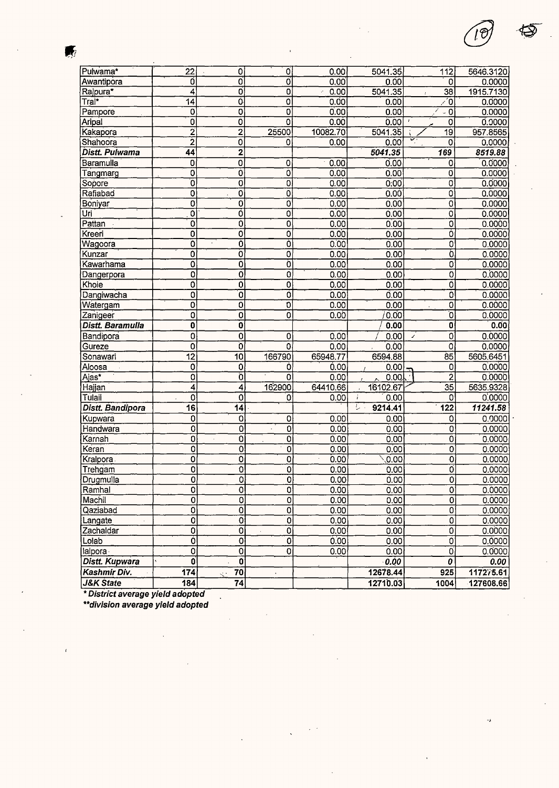| Pulwama*         | $\overline{22}$           | 0                         | Ö.                        | 0.00     | 5041.35           | 112                                        | 5646.3120 |
|------------------|---------------------------|---------------------------|---------------------------|----------|-------------------|--------------------------------------------|-----------|
| Awantipora       | 0                         | ō                         | ö                         | 0.00     | 0.00              | 0                                          | 0.0000    |
| Rajpura*         | 4                         | O                         | $\overline{0}$            | 0.00     | 5041.35           | $\overline{38}$                            | 1915.7130 |
| Tral*            | 14                        | ō                         | $\overline{\mathfrak{o}}$ | 0.00     | 0.00              | Ô                                          | 0.0000    |
| Pampore          | 0                         | $\overline{\mathfrak{o}}$ | $\overline{0}$            | 0.00     | 0.00              | $\overline{\phantom{0}}$ 0                 | 0.0000    |
| Aripal           | 0                         | O                         | $\overline{0}$            | 0.00     | 0.00              | $\pmb{\imath}$<br>0                        | 0.0000    |
| Kakapora         | $\mathbf{z}$              | 2                         | 25500                     | 10082.70 | 5041.35           | $\overline{19}$                            | 957.8565  |
| Shahoora         | $\overline{2}$            | $\overline{\mathfrak{o}}$ | 0                         | 0.00     | 0.00              | $\mathbf 0$                                | 0.0000    |
| Distt. Pulwama   | 44                        | $\overline{\mathbf{2}}$   |                           |          | 5041.35           | 169                                        | 8519.88   |
| Baramulla        | 0                         | $\overline{0}$            | 0                         | 0.00     | 0.00              | 0                                          | 0.0000    |
| Tangmarg         | 0                         | $\overline{\mathfrak{o}}$ | $\overline{0}$            | 0.00     | 0.00              | 0                                          | 0.0000    |
| Sopore           | Ō                         | $\overline{\mathfrak{o}}$ | $\overline{0}$            | 0.00     | 0:00              | O                                          | 0.0000    |
| Rafiabad         | 0                         | $\overline{0}$            | Ö                         | 0.00     | 0.00              | 0                                          | 0.0000    |
| Boniyar          | 0                         | $\overline{\mathfrak{o}}$ | $\overline{\mathfrak{o}}$ | 0.00     | 0.00              | $\overline{0}$                             | 0.0000    |
| Uri              | ō                         | õ                         | $\overline{\mathfrak{o}}$ | 0.00     | 0.00              | 0                                          | 0.0000    |
| Pattan           | 0                         | Ō                         | 0                         | 0.00     | 0.00              | 0                                          | 0.0000    |
| Kreeri           | 0                         | $\overline{\mathbf{o}}$   | $\overline{0}$            | 0.00     | 0.00              | Ò                                          | 0.0000    |
| Wagoora          | 0                         | Ō                         | õ                         | 0.00     | 0.00              | $\overline{0}$                             | 0.0000    |
| Kunzar           | 0                         | ō                         | $\overline{0}$            | 0.00     | 0.00              | $\overline{\mathfrak{o}}$                  | 0.0000    |
| Kawarhama        | 0                         | 0                         | Ò                         | 0.00     | 0.00              | $\overline{0}$                             | 0.0000    |
| Dangerpora       | Q                         | Ó                         | Ō                         | 0.00     | 0.00              | $\overline{\mathfrak{o}}$                  | 0.0000    |
| Khoie            | Ó                         | $\overline{0}$            | $\overline{0}$            | 0.00     | 0.00              | Ó                                          | 0.0000    |
| Dangiwacha       | $\overline{0}$            | $\overline{\mathfrak{o}}$ | $\overline{\mathfrak{o}}$ | 0.00     | 0.00              | $\overline{\mathfrak{o}}$                  | 0.0000    |
| Watergam         | 0                         | $\overline{\mathbf{0}}$   | $\overline{\mathfrak{o}}$ | 0.00     | 0.00              | 0                                          | 0.0000    |
| Zanigeer         | 0                         | $\overline{0}$            | ō                         | 0.00     | 0.00              | ō                                          | 0.0000    |
| Distt. Baramulla | $\overline{\mathbf{0}}$   | $\overline{\mathfrak{o}}$ |                           |          | 0.00              | $\overline{\mathbf{0}}$                    | 0.00      |
| Bandipora        | 0                         | $\overline{0}$            | O                         | 0.00     | 0.00              | $\overline{0}$<br>$\overline{\phantom{a}}$ | 0.0000    |
| Gureze           | Ö                         | o                         | 0                         | 0.00     | 0.00              | 0                                          | 0.0000    |
| Sonawari         | $\overline{12}$           | $\overline{10}$           | 166790                    | 65948.77 | 6594.88           | $\overline{85}$                            | 5605.6451 |
| Aloosa           | $\mathbf 0$               | 0                         | 0                         | 0.00     | 0.00              | 0                                          | 0.0000    |
| Ajas*            | 0                         | ō                         | 0                         | 0.00     | 0.00              | $\dot{2}$                                  | 0.0000    |
| Hajjan           | 4                         | $\overline{4}$            | 162900                    | 64410.66 | 16102.67          | 35                                         | 5635.9328 |
| Tulail           | $\overline{\mathbf{o}}$   | 0                         | 0                         | 0.00     | 0.00<br>÷         | 0                                          | 0.0000    |
| Distt. Bandipora | $\overline{16}$           | 14                        |                           |          | Ţ<br>9214.41      | 122                                        | 11241.58  |
| Kupwara          | 0                         | 0                         | 0                         | 0.00     | 0.00              | 0                                          | 0.0000    |
| Handwara         | $\overline{\mathfrak{o}}$ | $\overline{0}$            | $\overline{0}$<br>$\cdot$ | 0.00     | 0.00              | $\overline{0}$                             | 0.0000    |
| Karnah           | ō                         | 0                         | 0                         | 0.00     | 0.00              | $\overline{\mathbf{o}}$                    | 0.0000    |
| Keran            | 0                         | $\overline{0}$            | o                         | 0.00     | 0.00              | 0                                          | 0.0000    |
| Kralpora.        | $\overline{0}$            | $\overline{\mathbf{o}}$   | $\overline{\mathbf{o}}$   | 0.00     | 0.00              | $\overline{0}$                             | 0.0000    |
| Trengam          | 0                         | $\overline{\mathfrak{o}}$ | 0                         | 0.00     | 0.00              | Ö                                          | 0.0000    |
| Drugmulla        | $\overline{\mathsf{o}}$   | $\overline{\mathbf{o}}$   | $\overline{0}$            | 0.00     | $\overline{0.00}$ | 이                                          | 0.0000    |
| Ramhal           | $\overline{\mathfrak{o}}$ | $\overline{\mathfrak{o}}$ | $\overline{0}$            | 0.00     | 0.00              | $\overline{0}$                             | 0.0000    |
| Machil           | $\overline{0}$            | $\overline{O}$            | $\overline{\text{o}}$     | 0.00     | 0.00              | 0                                          | 0.0000    |
| Qaziabad         | ō                         | $\overline{0}$            | $\overline{0}$            | 0.00     | 0.00              | O                                          | 0.0000    |
| Langate          | $\overline{0}$            | $\overline{0}$            | $\overline{0}$            | 0.00     | 0.00              | $\overline{0}$                             | 0.0000    |
| Zachaldar        | $\overline{0}$            | $\overline{\mathfrak{o}}$ | $\overline{0}$            | 0.00     | 0.00              | 0                                          | 0.0000    |
| Lolab            | Ò                         | $\overline{\mathbf{o}}$   | $\overline{0}$            | 0.00     | 0.00              | $\mathbf 0$                                | 0.0000    |
| lalpora          | $\overline{\mathbf{o}}$   | $\overline{0}$            | $\overline{0}$            | 0.00     | 0.00              | $\overline{0}$                             | 0.0000    |
| Distt. Kupwara   | O                         | $\mathbf{0}$              |                           |          | 0.00              | 0                                          | 0.00      |
| Kashmir Div.     | 174                       | 70<br>Ŕ.                  | k,                        |          | 12678.44          | 925                                        | 117275.61 |
| J&K State        | 184                       | 74                        |                           |          | 12710.03          | 1004                                       | 127608.66 |

\* **District average yield adopted** 

 $\ddot{\phantom{0}}$ 

**\*\*division average yield adopted** 

 $\overline{1}$ 

 $\blacksquare$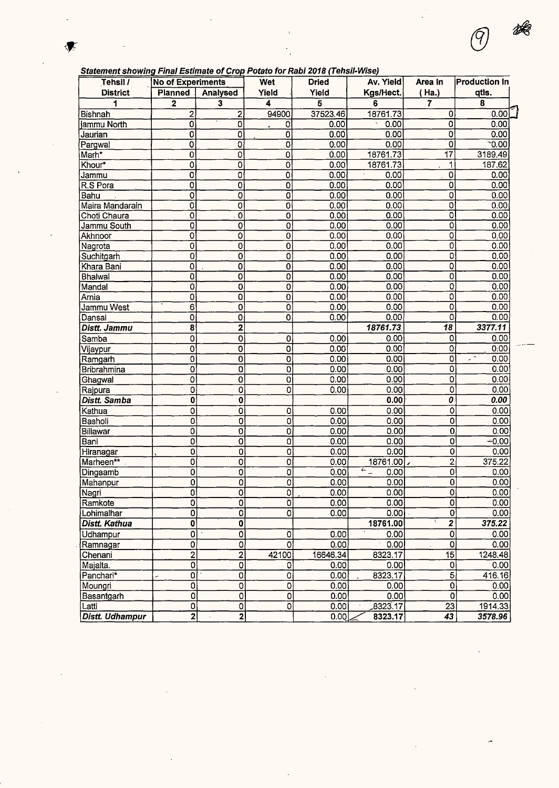### **Statement showing Final Estimate of Crop Potato for Rabi 2018 (Tehsil-Wise)**

| Tehsil /        | <b>No of Experiments</b>  |                                       | Wet                       | <b>Dried</b> | Av. Yield                       | Area In                   | <b>Production In</b> |
|-----------------|---------------------------|---------------------------------------|---------------------------|--------------|---------------------------------|---------------------------|----------------------|
| <b>District</b> | <b>Planned</b>            | Analysed                              | Yield                     | Yield        | Kgs/Hect.                       | (Ha.)                     | qtls.                |
|                 | $\mathbf 2$               | 3                                     | 4                         | 5            | 6                               | $\overline{\mathbf{r}}$   | 8                    |
| Bishnah         | $\overline{2}$            | 2                                     | 94900                     | 37523.46     | 18761.73                        | 0                         | 0.00                 |
| jammu North     | $\overline{\mathbf{o}}$   | 0                                     | 0                         | 0.00         | 0.00                            | 0                         | 0.00                 |
| Jaurian         | 0                         | 0                                     | 0                         | 0.00         | 0.00                            | 0                         | 0.00                 |
| Pargwal         | 0                         | 0                                     | 0                         | 0.00         | 0.00                            | 0                         | 0.00                 |
| Marh*           | 0                         | 0                                     | 0                         | 0.00         | 18761.73                        | $\overline{17}$           | 3189.49              |
| Khour*          | 0                         | 0                                     | 0                         | 0.00         | 18761.73                        | 1                         | 187.62               |
| Jammu           | 0                         | $\overline{0}$                        | $\overline{0}$            | 0.00         | 0.00                            | 0                         | 0.00                 |
| R.S Pora        | $\overline{0}$            | $\overline{0}$                        | 0                         | 0.00         | 0.00                            | $\overline{0}$            | 0.00                 |
| Bahu            | 0                         | 0                                     | 0                         | 0.00         | 0.00                            | $\overline{0}$            | 0.00                 |
| Maira Mandarain | $\overline{\mathbf{0}}$   | 0                                     | 0                         | 0.00         | 0.00                            | $\overline{0}$            | 0.00                 |
| Choti Chaura    | 0                         | $\mathbf 0$                           | 0                         | 0.00         | 0.00                            | 0                         | 0.00                 |
| Jammu South     | 0                         | 0                                     | 0                         | 0.00         | 0.00                            | $\overline{0}$            | 0.00                 |
| Akhnoor         | $\overline{0}$            | 0                                     | 0                         | 0.00         | 0.00                            | $\overline{\mathfrak{o}}$ | 0.00                 |
| Nagrota         | 0                         | 0                                     | 0                         | 0.00         | 0.00                            | 0                         | 0.00                 |
| Suchitgarh      | 0                         | 0                                     | 0                         | 0.00         | 0.00                            | Ö                         | 0.00                 |
| Khara Bani      | 0                         | 0                                     | 0                         | 0.00         | 0.00                            | 0                         | 0.00                 |
| Bhalwal         | 0                         | 0                                     | 0                         | 0.00         | 0.00                            | 0                         | 0.00                 |
| Mandal          | 0                         | O                                     | O                         | 0.00         | 0.00                            | 0                         | 0.00                 |
| Arnia           | 0                         | $\overline{0}$                        | 0                         | 0.00         | 0.00                            | $\overline{\mathbf{o}}$   | 0.00                 |
| Jammu West      | 6                         | 0                                     | 0                         | 0.00         | 0.00                            | 0                         | 0.00                 |
| Dansal          | 0                         | 0                                     | 0                         | 0.00         | 0.00                            | 0                         | 0.00                 |
| Distt. Jammu    | 8                         | 2                                     |                           |              | 18761.73                        | 18                        | 3377.11              |
| Samba           | 0                         | 0                                     |                           | 0.00         | 0.00 <sub>1</sub>               | 0                         | 0.00                 |
|                 | $\mathbf 0$               | 0                                     | 0                         | 0.00         | 0.00                            | $\overline{0}$            | 0:00                 |
| Vijaypur        | $\overline{0}$            |                                       | 0                         | 0.00         | 0.00                            | $\overline{\mathfrak{o}}$ | سي                   |
| Ramgarh         |                           | 0                                     | 0                         |              |                                 | 0                         | 0.00<br>0.00         |
| Bribrahmina     | 0                         | ö                                     | $\mathbf 0$               | 0.00<br>0.00 | 0.00<br>0.00                    |                           |                      |
| Ghagwal         | 0                         | o                                     | 0                         |              |                                 | 0                         | 0.00                 |
| Rajpura         | 0                         | 0                                     | ō                         | 0.00         | 0.00                            | 0                         | 0.00                 |
| Distt. Samba    | 0                         | 0                                     |                           |              | 0.00                            | 0                         | 0.00                 |
| Kathua          | 0                         | 0                                     | 0                         | 0.00         | 0.00                            | 0                         | 0.00                 |
| Basholi         | $\overline{\mathbf{o}}$   | 0                                     | 0                         | 0.00         | 0.00                            | 0                         | 0.00                 |
| Billawar        | 0                         | O                                     | $\mathbf 0$               | 0.00         | 0.00                            | $\overline{\mathbf{0}}$   | 0.00                 |
| Bani            | 0                         | 0                                     | 0                         | 0.00         | 0.00                            | $\overline{0}$            | $-0.00$              |
| Hiranagar       | 0                         | $\mathbf 0$                           | 0                         | 0.00         | 0.00                            | 0                         | 0.00                 |
| Marheen**       | 0                         | 0                                     | 0                         | 0.00         | 18761.00                        | $\overline{2}$            | 375.22               |
| Dingaamb        | 0                         | 0                                     | 0                         | 0.00         | $\overline{\leftarrow}$<br>0.00 | 0                         | 0.00                 |
| Mahanpur        | ō                         | $\overline{\mathfrak{o}}$             | $\overline{0}$            | 0.00         | 0.00                            | $\overline{0}$            | 0.00                 |
| Nagri           | $\overline{\mathbf{0}}$   | $\overline{0}$                        | $\overline{0}$            | 0.00         | 0.00                            | 이의                        | 0.00                 |
| Ramkote         | 0                         | 0                                     | Ō                         | 0.00         | 0.00                            |                           | 0.00                 |
| Lohimalhar      | 0                         | $\overline{0}$                        | 0                         | 0.00         | 0.00                            | $\overline{\mathbf{o}}$   | 0.00                 |
| Distt. Kathua   | 0                         | $\mathbf{0}$                          |                           |              | 18761.00                        | $\overline{2}$            | 375.22               |
| Udhampur        | $\mathbf 0$               | $\overline{0}$                        | 0                         | 0.00         | 0.00                            | 0                         | 0.00                 |
| Ramnagar        | 0                         | 0                                     | 0                         | 0.00         | 0.00                            | $\overline{0}$            | 0.00                 |
| Chenani         | $\overline{2}$            | $\overline{2}$                        | 42100                     | 16646.34     | 8323.17                         | $\overline{15}$           | 1248.48              |
| Majalta.        | $\overline{\mathfrak{o}}$ | $\overline{0}$                        | 0                         | 0.00         | 0.00                            | 0                         | 0.00                 |
| Panchari*       | 0                         | 0                                     | 0                         | 0.00         | 8323.17                         | $\overline{5}$            | 416.16               |
| Moungri         | ō                         | $\overline{0}$                        | $\overline{\mathfrak{o}}$ | 0.00         | 0.00                            | $\overline{\mathfrak{o}}$ | $\overline{0.00}$    |
| Basantgarh      | 0                         | Ō                                     | 0                         | 0.00         | 0.00                            | $\overline{0}$            | 0.00                 |
| Latti           | 0                         | $\mathbf 0$                           | 0                         | 0.00         | 8323.17                         | 23                        | 1914.33              |
| Distt. Udhampur | $\overline{2}$            | $\overline{\mathbf{2}}$<br>$\epsilon$ |                           | 0.00         | 8323.17                         | $\overline{43}$           | 3578.96              |

 $\frac{1}{2}$ 

၇ု

è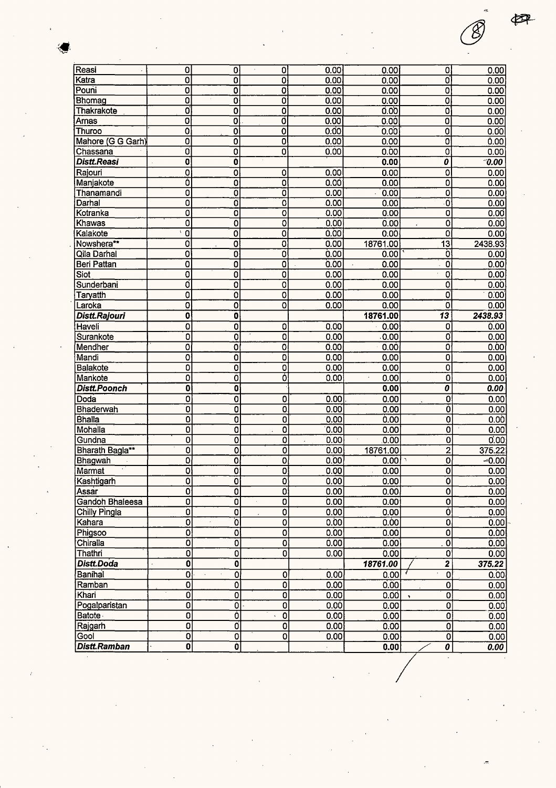| Reasi               | 0                         | 0                         | 0                            | 0.00 | 0.00                         | 0                            | 0.00    |
|---------------------|---------------------------|---------------------------|------------------------------|------|------------------------------|------------------------------|---------|
| Katra               | 0                         | 0                         | 0                            | 0.00 | 0.00                         | O                            | 0.00    |
| Pouni               | 0                         | 0                         | 0                            | 0.00 | 0.00                         | 0                            | 0.00    |
| Bhomag              | 0                         | 0                         | 0                            | 0.00 | 0.00                         | Ō                            | 0.00    |
| Thakrakote          | 0                         | 0                         | 0                            | 0.00 | 0.00                         | 0                            | 0.00    |
| Arnas               | O                         | 0                         | o                            | 0.00 | 0.00                         | 0                            | 0.00    |
| Thuroo              | 0                         | 0                         | 0                            | 0.00 | 0.00                         | 0                            | 0.00    |
| Mahore (G G Garh)   | ō                         | 0                         | 0                            | 0.00 | 0.00                         | 0                            | 0.00    |
| Chassana            | o                         | 0                         | 0                            | 0.00 | 0.00                         | 0                            | 0.00    |
| Distt.Reasi         | 0                         | Ò                         |                              |      | 0.00                         | 0                            | 0.00    |
| Rajouri             | 0                         | 0                         | 0                            | 0.00 | 0.00                         | 0                            | 0.00    |
| Manjakote           | Ó                         | 0                         | 0                            | 0.00 | 0.00                         | 0                            | 0.00    |
| Thanamandi          | 0                         | 0                         | 0                            | 0.00 | 0.00<br>$\ddot{\phantom{a}}$ | 0                            | 0.00    |
| Darhal              | 0                         | o                         | 0                            | 0.00 | 0.00                         | $\overline{\mathbf{0}}$      | 0.00    |
| Kotranka            | 0                         | O                         | 0                            | 0.00 | 0.00                         | 0                            | 0.00    |
| Khawas              | 0                         | 0                         | 0                            | 0.00 | 0.00                         | 0                            | 0.00    |
| Kalakote            | 0                         | 0                         | 0                            | 0.00 | 0.00                         | 0                            | 0.00    |
| Nowshera**          | Ó                         | 0                         | 0                            | 0.00 | 18761.00                     | $\overline{13}$              | 2438.93 |
| Qila Darhal         | 0                         | 0                         | 0                            | 0.00 | 0.00                         | 0                            | 0.00    |
| <b>Beri Pattan</b>  | 0                         | 0                         | 0                            | 0.00 | 0.00                         | 0                            | 0.00    |
| Siot                | Ö                         | O                         | 0                            | 0.00 | 0.00                         | 0                            | 0.00    |
| Sunderbani          | O                         | 0                         | 0                            | 0.00 | 0.00                         | 0                            | 0.00    |
| Taryatth            | 0                         | O                         | 0                            | 0.00 | 0.00                         | Ö                            | 0.00    |
| Laroka              | 0                         | Ó                         | 0                            | 0.00 | 0.00                         | ٥                            | 0.00    |
| Distt.Rajouri       | 0                         | 0                         |                              |      | 18761.00                     | $\overline{13}$              | 2438.93 |
| Haveli              | Ö                         | 0                         | 0                            | 0.00 | 0.00                         | 0                            | 0.00    |
| Surankote           | $\overline{\mathbf{0}}$   | 0                         | $\overline{\mathfrak{o}}$    | 0.00 | .0.00                        | O                            | 0.00    |
| Mendher             | 0                         | 0                         | Ö                            | 0.00 | 0.00                         | 0                            | 0.00    |
| Mandi               | 0                         | 0                         | 0                            | 0.00 | 0.00                         | 0                            | 0.00    |
| Balakote            | 0                         | 0                         | 0                            | 0.00 | 0.00                         | 0                            | 0.00    |
| Mankote             | 0                         | 0                         | Ó                            | 0.00 | 0.00                         | $\overline{0}$               | 0.00    |
| <b>Distt.Poonch</b> | 0                         | $\mathbf 0$               |                              |      | 0.00                         | 0                            | 0.00    |
|                     |                           |                           |                              |      |                              | $\overline{\mathfrak{o}}$    |         |
| Doda                | $\overline{\mathbf{o}}$   | 0                         | 0                            | 0.00 | 0.00                         | õ                            | 0.00    |
| Bhaderwah           | ō                         | 0                         | 0                            | 0.00 | 0.00                         |                              | 0.00    |
| <b>Bhalla</b>       | 0                         | 0                         | 0<br>$\overline{\mathbf{o}}$ | 0.00 | 0.00                         | 0<br>$\overline{\mathbf{0}}$ | 0.00    |
| Mohalla             | 0                         | 0                         |                              | 0.00 | 0.00                         |                              | 0.00    |
| Gundna              | 0                         | 0                         | $\overline{\mathbf{o}}$      | 0.00 | 0.00                         | 0                            | 0.00    |
| Bharath Bagla**     | 0                         | 0                         | 0                            | 0.00 | 18761.00                     | $\overline{a}$               | 375.22  |
| Bhagwah             | 0                         | 0                         | 0                            | 0.00 | 0.00                         | $\overline{\mathfrak{o}}$    | $-0.00$ |
| Marmat              | 0                         | $\overline{0}$            | $\overline{0}$               | 0.00 | 0.00                         | $\overline{0}$               | 0.00    |
| Kashtigarh          | 0                         | $\overline{\mathbf{0}}$   | $\overline{\mathbf{0}}$      | 0.00 | 0.00                         | $\overline{\mathfrak{o}}$    | 0.00    |
| Assar               | ō                         | $\overline{\mathfrak{o}}$ | $\overline{\mathfrak{o}}$    | 0.00 | 0.00                         | $\overline{\mathfrak{o}}$    | 0.00    |
| Gandoh Bhaleesa     | 0                         | $\overline{0}$            | 0                            | 0.00 | 0.00                         | $\mathbf 0$                  | 0.00    |
| Chilly Pingla       | 0                         | 0                         | 0                            | 0.00 | 0.00                         | Ò                            | 0.00    |
| Kahara              | $\overline{\mathfrak{o}}$ | ัด                        | $\overline{\mathbf{0}}$      | 0.00 | 0.00                         | $\overline{\mathfrak{o}}$    | 0.00    |
| Phigsoo             | $\overline{\mathfrak{o}}$ | $\overline{0}$            | $\overline{\mathbf{o}}$      | 0.00 | 0.00                         | $\overline{\mathbf{0}}$      | 0.00    |
| Chiralla            | $\overline{\mathfrak{o}}$ | $\overline{0}$            | $\overline{\mathbf{o}}$      | 0.00 | 0.00                         | $\overline{\mathfrak{o}}$    | 0.00    |
| Thathri             | $\overline{\mathbf{0}}$   | $\overline{0}$            | $\overline{\mathbf{0}}$      | 0.00 | 0.00                         | $\overline{\mathbf{0}}$      | 0.00    |
| Distt.Doda          | $\overline{\mathbf{0}}$   | $\overline{\mathbf{0}}$   |                              |      | 18761.00                     | $\overline{2}$               | 375.22  |
| Banihal             | $\overline{0}$            | O<br>$\sim$               | $\mathbf 0$                  | 0.00 | 0.00                         | $\mathbf 0$                  | 0.00    |
| Ramban              | 0                         | $\overline{0}$            | $\overline{0}$               | 0.00 | 0.00                         | 0                            | 0.00    |
| Khari               | $\overline{0}$            | $\overline{0}$            | ō                            | 0.00 | 0.00                         | 0<br>$\mathbf{v}$            | 0.00    |
| Pogalparistan       | $\overline{\mathfrak{o}}$ | $\overline{0}$            | $\overline{\mathbf{0}}$      | 0.00 | 0.00                         | $\overline{\mathfrak{o}}$    | 0.00    |
| <b>Batote</b>       | $\overline{\mathbf{0}}$   | Ò                         | $\overline{0}$               | 0.00 | 0.00                         | $\overline{0}$               | [0.00]  |
| Rajgarh             | $\overline{\mathbf{0}}$   | $ \vec{0} $               | $\overline{\mathbf{o}}$      | 0.00 | 0.00                         | $\overline{\mathfrak{o}}$    | 0.00    |
| Gool                | $\overline{0}$            | $\overline{\mathbf{o}}$   | $\overline{\mathbf{o}}$      | 0.00 | 0.00                         | $\overline{\mathsf{o}}$      | 0.00    |
| <b>Distt.Ramban</b> | $\mathbf 0$               | $\overline{\mathbf{0}}$   |                              |      | 0.00                         | 0                            | 0.00    |
|                     |                           |                           |                              |      |                              |                              |         |

伊

<sup>B</sup>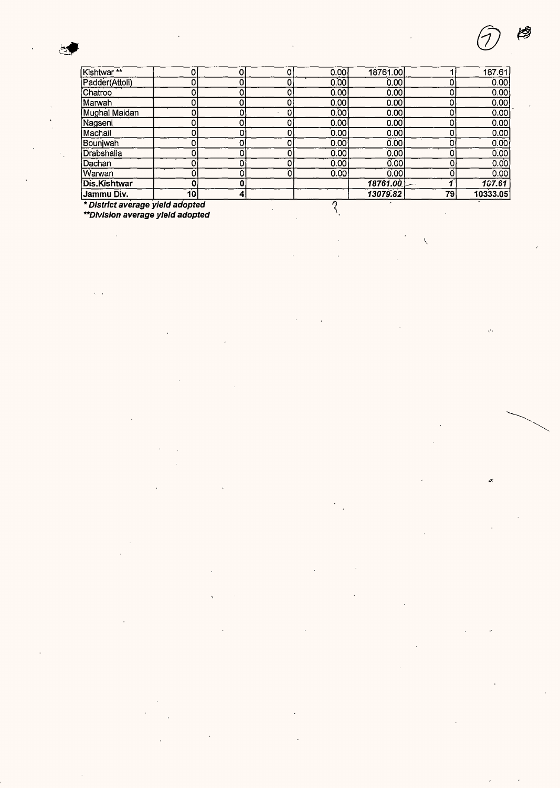$\bar{\beta}$ 

 $\sqrt{2}$ 

| Kishtwar**                       |    |   | 0 | 0.00   | 18761.00 |    | 187.61            |  |  |
|----------------------------------|----|---|---|--------|----------|----|-------------------|--|--|
| Padder(Attoli)                   |    |   |   | 0.00   | 0.00     |    | 0.00              |  |  |
| Chatroo                          |    |   |   | 0.00   | 0.001    |    | 0.00              |  |  |
| Marwah                           |    |   |   | 0.00   | 0.00     |    | 0.00              |  |  |
| Mughal Maidan                    |    |   |   | 0.00   | 0.00     |    | 0.00              |  |  |
| Nagseni                          |    |   |   | 0.00   | 0.00     |    | 0.00              |  |  |
| Machail                          |    |   |   | [0.00] | 0.00     | 0  | 0.00              |  |  |
| Bounjwah                         |    |   |   | 0.00   | 0.001    | n  | $\overline{0.00}$ |  |  |
| Drabshalla                       |    |   |   | 0.00   | 0.00     | n  | 0.00              |  |  |
| Dachan                           |    |   |   | 0.00   | 0.00     |    | 0.00              |  |  |
| Warwan                           |    |   |   | 0.00   | 0.00     | n  | 0.00              |  |  |
| <b>Dis Kishtwar</b>              |    |   |   |        | 18761.00 |    | 157.61            |  |  |
| Jammu Div.                       | 10 | 4 |   |        | 13079.82 | 79 | 10333.05          |  |  |
| * District average yield adopted |    |   |   |        |          |    |                   |  |  |
| **Division average yield adopted |    |   |   |        |          |    |                   |  |  |

 $\ddot{\phantom{a}}$ 

 $\ddot{\phantom{0}}$ 

l,

 $\overline{\phantom{a}}$ 

 $\overline{\phantom{a}}$ 

 $\bar{z}$ 

**\*\*Division average yield adopted** 

 $\sim$ 

 $\ddot{\phantom{a}}$ 

 $\ddot{\phantom{a}}$  $\overline{\phantom{a}}$ 

l,

 $\mathbf{v}$ 

l,

 $\chi^2/\chi$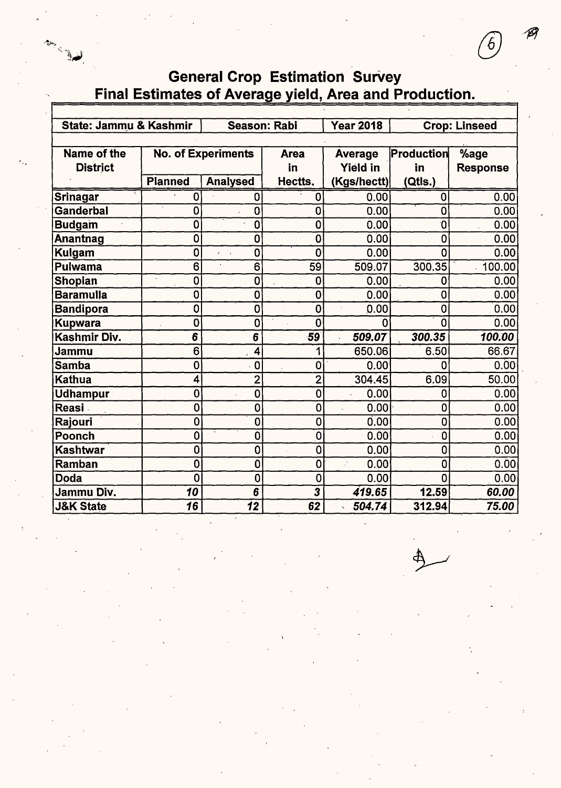|                        | Final Estimates of Average yield, Area and Production. |                               |                         |                  |                |                      |  |  |  |  |
|------------------------|--------------------------------------------------------|-------------------------------|-------------------------|------------------|----------------|----------------------|--|--|--|--|
|                        |                                                        |                               |                         |                  |                |                      |  |  |  |  |
| State: Jammu & Kashmir |                                                        | <b>Season: Rabi</b>           |                         | <b>Year 2018</b> |                | <b>Crop: Linseed</b> |  |  |  |  |
|                        |                                                        |                               |                         |                  |                |                      |  |  |  |  |
| Name of the            |                                                        | <b>No. of Experiments</b>     | <b>Area</b>             | <b>Average</b>   | Production     | %age                 |  |  |  |  |
| <b>District</b>        |                                                        |                               | in                      | <b>Yield in</b>  | in             | <b>Response</b>      |  |  |  |  |
|                        | <b>Planned</b>                                         | <b>Analysed</b>               | Hectts.                 | (Kgs/hectt)      | (Qtls.)        |                      |  |  |  |  |
| Srinagar               | 0                                                      | 0                             | 0                       | 0.00             | 0              | 0.00                 |  |  |  |  |
| Ganderbal              | 0                                                      | 0                             | 0                       | 0.00             | $\overline{0}$ | 0.00                 |  |  |  |  |
| <b>Budgam</b>          | 0                                                      | 0                             | $\bf{0}$                | 0.00             | 0              | 0.00                 |  |  |  |  |
| Anantnag               | 0                                                      | $\mathbf 0$                   | $\bf{0}$                | 0.00             | $\mathbf 0$    | 0.00                 |  |  |  |  |
| Kulgam                 | $\mathbf 0$                                            | $\mathbf 0$<br>$\overline{a}$ | $\mathbf 0$             | 0.00             | 0              | 0.00                 |  |  |  |  |
| Pulwama                | 6                                                      | 6                             | 59                      | 509.07           | 300.35         | 100.00               |  |  |  |  |
| Shopian                | $\mathbf 0$                                            | $\mathbf 0$                   | $\bf{0}$                | 0.00             | $\mathbf 0$    | 0.00 <sub>1</sub>    |  |  |  |  |
| <b>Baramulla</b>       | $\overline{0}$                                         | $\mathbf 0$                   | $\bf{0}$                | 0.00             | $\mathbf 0$    | 0.00                 |  |  |  |  |
| <b>Bandipora</b>       | $\mathbf 0$                                            | $\mathbf 0$                   | $\mathbf 0$             | 0.00             | $\overline{0}$ | 0.00                 |  |  |  |  |
| <b>Kupwara</b>         | Ó                                                      | 0                             | $\overline{0}$          | O                | $\overline{0}$ | 0.00                 |  |  |  |  |
| Kashmir Div.           | 6                                                      | 6                             | $-59$                   | 509.07           | 300.35         | 100.00               |  |  |  |  |
| Jammu                  | 6                                                      | 4                             | 1                       | 650.06           | 6.50           | 66.67                |  |  |  |  |
| Samba                  | $\mathbf 0$                                            | $\mathbf 0$                   | 0                       | 0.00             | 0              | 0.00                 |  |  |  |  |
| Kathua                 | 4                                                      | $\overline{2}$                | $\overline{2}$          | 304.45           | 6.09           | 50.00                |  |  |  |  |
| <b>Udhampur</b>        | 0                                                      | $\mathbf 0$                   | $\mathbf 0$             | 0.00             | 0              | 0.00                 |  |  |  |  |
| Reasi <sup>7</sup>     | 0                                                      | 0                             | $\mathbf 0$             | 0.00             | 0              | 0.00                 |  |  |  |  |
| Rajouri                | 0                                                      | $\mathbf 0$                   | $\overline{0}$          | 0.00             | 0              | 0.00                 |  |  |  |  |
| Poonch                 | 0                                                      | $\mathbf 0$                   | $\mathbf 0$             | 0.00             | $\mathbf 0$    | 0.00                 |  |  |  |  |
| <b>Kashtwar</b>        | 0                                                      | $\mathbf 0$                   | $\mathbf 0$             | 0.00             | 0              | 0.00                 |  |  |  |  |
| Ramban                 | 0                                                      | $\mathbf 0$                   | $\mathbf 0$             | 0.00             | 0              | 0.00                 |  |  |  |  |
| Doda                   | 0                                                      | 0                             | $\overline{0}$          | 0.00             | 0              | 0.00                 |  |  |  |  |
| Jammu Div.             | 10                                                     | 6                             | $\overline{\mathbf{3}}$ | 419.65           | 12.59          | 60.00                |  |  |  |  |
| <b>J&amp;K State</b>   | $\overline{16}$                                        | $\overline{\bf 12}$           | 62                      | 504.74           | 312.94         | 75.00                |  |  |  |  |

# General Crop Estimation Survey

6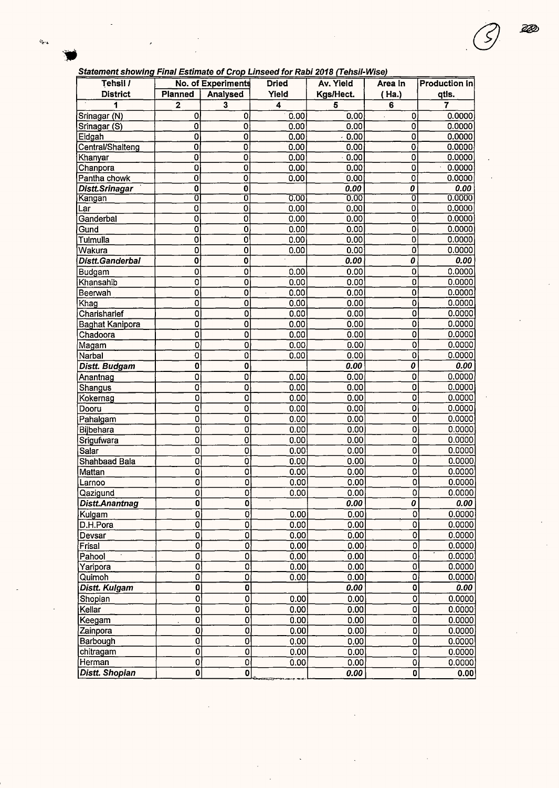22

| Tehsil /               | No. of Experiments        |                           | <b>Dried</b>      | Av. Yield | Area In                       | <b>Production In</b> |
|------------------------|---------------------------|---------------------------|-------------------|-----------|-------------------------------|----------------------|
| <b>District</b>        | Planned                   | Analysed                  | Yield             | Kgs/Hect. | ( Ha.)                        | qtls.                |
| 1                      | $\mathbf{2}$              | 3                         | 4                 | 5         | 6                             | 7                    |
| Srinagar (N)           | 0                         | 0                         | 0.00              | 0.00      | 0<br>$\overline{\phantom{a}}$ | 0.0000               |
| Srinagar (S)           | 0                         | 0                         | 0.00              | 0.00      | 0                             | 0.0000               |
| Eidgah                 | 0                         | 0                         | 0.00              | $-0.00$   | 0                             | 0.0000               |
| Central/Shalteng       | $\overline{0}$            | 0                         | 0.00              | 0.00      | $\mathbf 0$                   | 0.0000               |
| Khanyar                | 0                         | 0                         | 0.00              | 0.00      | 0                             | 0.0000               |
| Chanpora               | 0                         | 0                         | 0.00              | 0.00      | 0                             | 0.0000               |
| Pantha chowk           | $\mathbf 0$               | 0                         | 0.00              | 0.00      | 0                             | 0.0000               |
| <b>Distt.Srinagar</b>  | $\overline{\mathbf{0}}$   | 0                         |                   | 0.00      | 0                             | 0.00                 |
| Kangan                 | ō                         | ō                         | 0.00              | 0.00      | 0                             | 0.0000               |
| Lar                    | $\overline{0}$            | 0                         | 0.00              | 0.00      | $\overline{\mathbf{0}}$       | 0.0000               |
| Ganderbal              | 0                         | 0                         | 0.00              | 0.00      | 0                             | 0.0000               |
| Gund                   | 0                         | 0                         | 0.00              | 0.00      | 0                             | 0.0000               |
| Tulmulla               | 0                         | 0                         | 0.00              | 0.00      | 0                             | 0.0000               |
| Wakura                 | $\overline{0}$            | 0                         | 0.00              | 0.00      | $\overline{\mathbf{0}}$       | 0.0000               |
| <b>Distt.Ganderbal</b> | $\overline{\mathbf{0}}$   | 0                         |                   | 0.00      | 0                             | 0.00                 |
| Budgam                 | $\mathbf 0$               | 0                         | 0.00              | 0.00      | $\overline{0}$                | 0.0000               |
| Khansahib              | $\mathbf 0$               | 0                         | 0.00              | 0.00      | $\overline{0}$                | 0.0000               |
| Beerwah                | $\mathbf 0$               | 0                         | 0.00<br>$\bar{z}$ | 0.00      | $\overline{0}$                | 0.0000               |
| Khag                   | $\mathbf 0$               | 0                         | 0.00              | 0.00      | $\overline{\mathbf{0}}$       | 0.0000               |
| Charisharief           | $\mathbf 0$               | $\mathbf 0$               | 0.00              | 0.00      | $\overline{0}$                | 0.0000               |
| <b>Baghat Kanipora</b> | 0                         | $\mathbf 0$               | 0.00              | 0.00      | 0                             | 0.0000               |
| Chadoora               | $\overline{\mathfrak{o}}$ | $\overline{\mathbf{0}}$   | 0.00              | 0.00      | $\mathbf 0$                   | 0.0000               |
| Magam                  | $\overline{0}$            | $\mathbf{0}$              | 0.00              | 0.00      | $\overline{\mathbf{o}}$       | 0.0000               |
| Narbal                 | $\overline{0}$            | $\overline{\text{o}}$     | 0.00              | 0.00      | $\mathbf 0$                   | 0.0000               |
| Distt. Budgam          | $\mathbf 0$               | $\pmb{0}$                 |                   | 0.00      | 0                             | 0.00                 |
| Anantnag               | $\mathbf 0$               | $\overline{\mathfrak{o}}$ | 0.00              | 0.00      | $\mathbf 0$                   | 0.0000               |
| Shangus                | $\mathbf 0$               | $\overline{\mathbf{0}}$   | 0.00              | 0.00      | $\overline{0}$                | 0.0000               |
| Kokernag               | $\mathbf 0$               | 0                         | 0.00              | 0.00      | $\overline{0}$                | 0.0000               |
| Dooru                  | 0                         | 0                         | 0.00              | 0.00      | 0                             | 0.0000               |
| Pahalgam               | $\overline{0}$            | $\bf{0}$                  | 0.00              | 0.00      | $\mathbf 0$                   | 0.0000               |
| Bijbehara              | $\overline{0}$            | 0                         | 0.00              | 0.00      | $\mathbf 0$                   | 0.0000               |
| Srigufwara             | $\overline{0}$            | $\overline{0}$            | 0.00              | 0.00      | $\overline{\mathbf{o}}$       | 0.0000               |
| Salar                  | $\overline{0}$            | 0                         | 0.00              | 0.00      | $\mathbf 0$                   | 0.0000               |
| Shahbaad Bala          | $\mathbf 0$               | 0                         | 0.00              | 0.00      | $\overline{0}$                | 0.0000               |
| Mattan                 | $\mathbf 0$               | 0                         | 0.00              | 0.00      | $\overline{\mathbf{o}}$       | 0.0000               |
| Larnoo                 | 0                         | 0                         | 0.00              | 0.00      | $\mathbf{0}$                  | 0.0000               |
| l Qaziqund             | $\overline{0}$            | 0                         | 0.00              | 0.001     | οl                            | 0.00001              |
| Distt.Anantnag         | $\mathbf 0$               | $\mathbf 0$               |                   | 0.00      | 0                             | 0.00                 |
| Kulgam                 | $\overline{0}$            | 0                         | 0.00              | 0.00      | 0                             | 0.0000               |
| D.H.Pora               | $\overline{\mathfrak{o}}$ | $\overline{0}$            | 0.00              | 0.00      | $\overline{0}$                | 0.0000               |
| Devsar                 | $\overline{0}$            | 0                         | 0.00              | 0.00      | $\overline{0}$                | 0.0000               |
| Frisal                 | $\overline{0}$            | $\overline{0}$            | 0.00              | 0.00      | $\overline{\mathfrak{o}}$     | 0.0000               |
| Pahool                 | $\overline{\mathfrak{o}}$ | 0                         | 0.00              | 0.00      | $\overline{\mathbf{o}}$       | 0.0000               |
| Yaripora               | $\overline{0}$            | $\overline{\mathbf{0}}$   | 0.00              | 0.00      | ō                             | 0.0000               |
| Quimoh                 | $\overline{0}$            | 0                         | 0.00              | 0.00      | $\mathbf 0$                   | 0.0000               |
| Distt. Kulgam          | 0                         | 0                         |                   | 0.00      | $\mathbf 0$                   | 0.00                 |
| Shopian                | $\overline{0}$            | 0                         | 0.00              | 0.00      | $\mathbf 0$                   | 0.0000               |
| Kellar                 | $\overline{0}$            | 0                         | 0.00              | 0.00      | 0                             | 0.0000               |
| Keegam                 | $\overline{0}$            | 0                         | 0.00              | 0.00      | Ó                             | 0.0000               |
| Zainpora               | $\overline{0}$            | 0                         | 0.00              | 0.00      | $\overline{0}$                | 0.0000               |
| Barbough               | $\overline{0}$            | 0                         | 0.00              | 0.00      | $\overline{0}$                | 0.0000               |
| chitragam              | $\overline{0}$            | $\bf{0}$                  | 0.00              | 0.00      | $\mathbf 0$                   | 0.0000               |
| Herman                 | 0                         | $\overline{0}$            | 0.00              | 0.00      | $\mathbf 0$                   | 0.0000               |
| <b>Distt. Shopian</b>  | 0                         | 0                         |                   | 0.00      | $\mathbf{0}$                  | 0.00                 |
|                        |                           |                           |                   |           |                               |                      |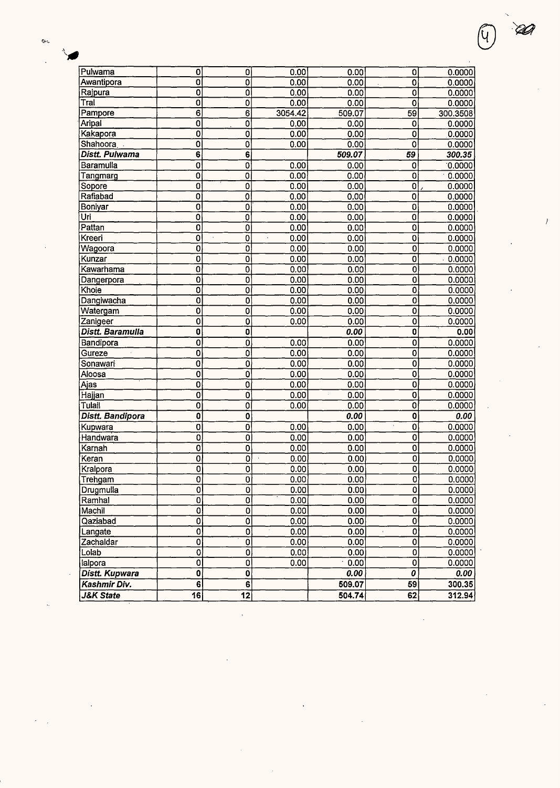| Pulwama               | 0                         | O                         | 0.00                 | 0.00   | 0                   | 0.0000   |
|-----------------------|---------------------------|---------------------------|----------------------|--------|---------------------|----------|
| Awantipora            | $\overline{0}$            | $\overline{0}$            | 0.00                 | 0.00   | $\mathbf 0$         | 0.0000   |
| Rajpura               | $\overline{\mathfrak{o}}$ | $\overline{\mathbf{o}}$   | 0.00                 | 0.00   | $\overline{0}$      | 0.0000   |
| Tral                  | $\mathbf 0$               | 0                         | 0.00                 | 0.00   | $\mathbf 0$         | 0.0000   |
| Pampore               | $\overline{6}$            | $\overline{6}$            | 3054.42              | 509.07 | 59                  | 300.3508 |
| Aripal                | $\mathbf 0$               | $\overline{0}$            | 0.00                 | 0.00   | $\mathbf 0$         | 0.0000   |
| Kakapora              | 0                         | $\overline{0}$            | 0.00                 | 0.00   | 0                   | 0.0000   |
| Shahoora              | 0                         | $\overline{0}$            | 0.00                 | 0.00   | $\overline{0}$      | 0.0000   |
| Distt. Pulwama        | $\overline{6}$            | 6                         |                      | 509.07 | $\overline{59}$     | 300.35   |
| Baramulla             | $\overline{0}$            | $\overline{0}$            | 0.00                 | 0.00   | $\mathbf 0$         | 0.0000   |
| Tangmarg              | $\overline{0}$            | $\overline{0}$            | 0.00                 | 0.00   | $\overline{0}$      | 0.0000   |
| Sopore                | $\overline{0}$            | $\overline{0}$            | 0.00                 | 0.00   | $\overline{0}$      | 0.0000   |
| Rafiabad              | 0                         | $\overline{0}$            | 0.00                 | 0.00   | Ō                   | 0.0000   |
| Boniyar               | $\overline{0}$            | 0                         | 0.00                 | 0.00   | $\mathbf 0$         | 0.0000   |
| Ūri                   | $\mathbf 0$               | 0                         | 0.00                 | 0.00   | 0                   | 0.0000   |
| Pattan                | $\mathbf 0$               | $\overline{0}$            | 0.00                 | 0.00   | $\mathbf 0$         | 0.0000   |
| Kreeri                | $\overline{\mathfrak{o}}$ | $\overline{0}$            | 0.00                 | 0.00   | $\overline{0}$      | 0.0000   |
| Wagoora               | $\overline{\mathbf{0}}$   | Ó                         | 0.00                 | 0.00   | $\overline{0}$      | 0.0000   |
| Kunzar                | 0                         | $\overline{0}$            | 0.00                 | 0.00   | Ó                   | 0.0000   |
| Kawarhama             | $\overline{0}$            | $\overline{0}$            | 0.00                 | 0.00   | $\overline{0}$      | 0.0000   |
| Dangerpora            | $\overline{0}$            | $\overline{0}$            | 0.00                 | 0.00   | 0                   | 0.0000   |
| Khoie                 | 0                         | 0                         | 0.00                 | 0.00   | 0                   | 0.0000   |
| Dangiwacha            | 0                         | 0                         | 0.00                 | 0.00   | 0                   | 0.0000   |
| Watergam              | 0                         | $\overline{0}$            | 0.00                 | 0.00   | ō                   | 0.0000   |
| Zanigeer              | $\overline{0}$            | Ő                         | 0.00                 | 0.00   | $\overline{0}$      | 0.0000   |
| Distt. Baramulla      | $\overline{0}$            | $\overline{0}$            |                      | 0.00   | $\overline{0}$      | 0.00     |
| Bandipora             | $\overline{\mathbf{0}}$   | Ō                         | 0.00                 | 0.00   | $\overline{0}$      | 0.0000   |
| Gureze                | 0                         | $\overline{0}$            | 0.00                 | 0.00   | $\overline{0}$      | 0.0000   |
| Sonawari              | $\mathbf 0$               | $\overline{0}$            | 0.00                 | 0.00   | $\mathbf 0$         | 0.0000   |
| Aloosa                | $\mathbf 0$               | 0                         | 0.00                 | 0.00   | $\mathbf 0$         | 0.0000   |
| Ajas                  | 0                         | $\mathbf 0$               | 0.00                 | 0.00   | $\mathbf 0$         | 0.0000   |
| Hajjan                | 0                         | 0                         | 0.00                 | 0.00   | $\mathbf 0$         | 0.0000   |
| Tulail                | $\overline{0}$            | $\overline{\mathfrak{o}}$ | 0.00                 | 0.00   | $\overline{0}$      | 0.0000   |
| Distt. Bandipora      | $\overline{\mathbf{0}}$   | $\overline{0}$            |                      | 0.00   | $\overline{0}$      | 0.00     |
| Kupwara               | $\mathbf 0$               | $\overline{0}$            | 0.00                 | 0.00   | $\overline{0}$      | 0.0000   |
| Handwara              | $\overline{0}$            | $\overline{0}$            | 0.00                 | 0.00   | $\mathbf 0$         | 0.0000   |
| Karnah                | $\overline{0}$            | $\overline{0}$            | 0.00                 | 0.00   | $\mathbf 0$         | 0.0000   |
| Keran                 | $\overline{0}$            | ō                         | 0.00<br>$\mathbf{r}$ | 0.00   | 0                   | 0.0000   |
| Kralpora              | $\overline{0}$            | Ò                         | 0.00                 | 0.00   | 0                   | 0.0000   |
|                       | 0                         | ٥l                        | 0.00                 | 0.00   | $\overline{0}$      | 0.0000   |
| Trehgam               | $\mathbf 0$               |                           |                      |        | 0                   |          |
| Drugmulla             |                           | 0<br>ō                    | 0.00                 | 0.00   |                     | 0.0000   |
| Ramhal<br>Machil      | 0<br>$\overline{0}$       | Ō                         | 0.00                 | 0.00   | 0<br>$\overline{0}$ | 0.0000   |
|                       |                           |                           | 0.00                 | 0.00   |                     | 0.0000   |
| Qaziabad              | $\overline{0}$            | $\overline{0}$            | 0.00                 | 0.00   | $\pmb{0}$           | 0.0000   |
| Langate               | $\overline{0}$            | $\overline{0}$            | 0.00                 | 0.00   | 0                   | 0.0000   |
| Zachaldar             | $\overline{0}$            | $\overline{0}$            | 0.00                 | 0.00   | $\mathbf 0$         | 0.0000   |
| Lolab                 | $\overline{\mathfrak{o}}$ | $\overline{0}$            | 0.00                 | 0.00   | 0                   | 0.0000   |
| lalpora               | $\mathbf 0$               | $\overline{0}$            | 0.00                 | 0.00   | $\pmb{0}$           | 0.0000   |
| <b>Distt. Kupwara</b> | $\mathbf 0$               | 0                         |                      | 0.00   | 0                   | 0.00     |
| Kashmir Div.          | 6                         | $\overline{6}$            |                      | 509.07 | 59                  | 300.35   |
| <b>J&amp;K State</b>  | 16                        | $\overline{12}$           |                      | 504.74 | 62                  | 312.94   |

l.

**DA** 

 $\overline{1}$ 

Ч

➤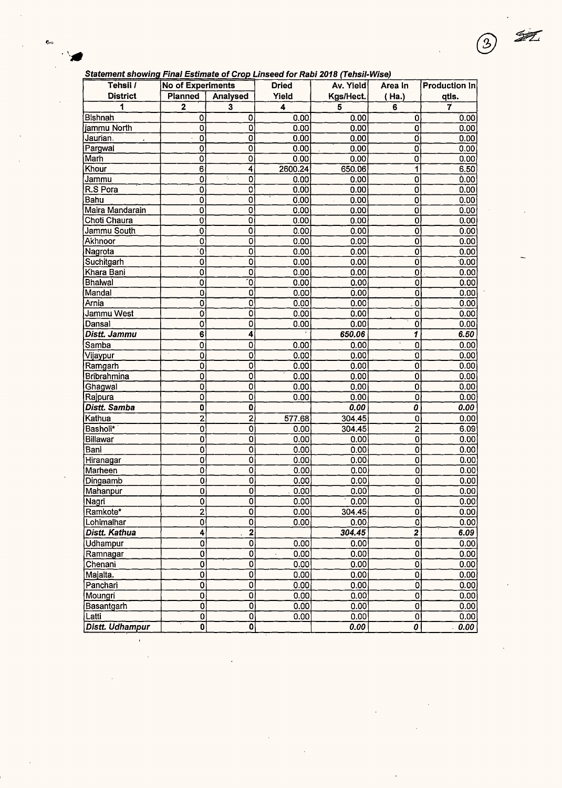### S **tatement s** *h* **owmr. Final Estimate of Croo Linseed for Rabi 2018 (Tehsil-Wise)**

®

| Statement Showing Final Estimate of Grop Emseed for Rabi 2010 (TensiPrise)<br>Tehsil / | No of Experiments                           |                           | <b>Dried</b> | Av. Yield    | Area In                          | Production In     |
|----------------------------------------------------------------------------------------|---------------------------------------------|---------------------------|--------------|--------------|----------------------------------|-------------------|
| <b>District</b>                                                                        | <b>Planned</b>                              | Analysed                  | Yield        | Kgs/Hect.    | (Ha.)                            |                   |
| 1                                                                                      | $\overline{\mathbf{2}}$                     | 3                         | 4            | 5            | 6                                | qtls.<br>7        |
| ∣Bishnah                                                                               |                                             |                           |              |              |                                  |                   |
| jammu North                                                                            | 0<br>$\overline{0}$                         | 0<br>$\overline{0}$       | 0.00<br>0.00 | 0.00<br>0.00 | 0<br>$\mathbf 0$                 | 0.00<br>0.00      |
| Jaurian.                                                                               | 0                                           | $\overline{0}$            | 0.00         | 0.00         | O                                | 0.00              |
| Pargwal                                                                                | $\pmb{0}$                                   | $\overline{0}$            | 0.00         | 0.00         | $\mathbf 0$                      | 0.00              |
| Marh                                                                                   | $\overline{0}$                              | $\overline{\mathfrak{o}}$ | 0.00         | 0.00         | 0                                | 0.00              |
| Khour                                                                                  | $\overline{6}$                              | 4                         | 2600.24      | 650.06       | 1                                | 6.50              |
| Jammu                                                                                  | $\mathbf 0$                                 | ÷,<br>0                   | 0.00         | 0.00         | 0                                | 0.00              |
| R.S Pora                                                                               | $\mathbf 0$                                 | $\overline{0}$            | 0.00         | 0.00         | $\overline{0}$                   | 0.00              |
| Bahu                                                                                   | $\ddot{\mathbf{0}}$                         | $\overline{0}$            | 0.00         | 0.00         | Ó                                | 0.00              |
| Maira Mandarain                                                                        | $\mathbf 0$                                 | 0                         | 0.00         | 0.00         | Ó                                | 0.00 <sub>1</sub> |
| Choti Chaura                                                                           | $\pmb{0}$                                   | 0                         | 0.00         | 0.00         | 0                                | 0.00              |
| Jammu South                                                                            | $\overline{0}$                              | Ó                         | 0.00         | 0.00         | $\overline{0}$                   | 0.00              |
| Akhnoor                                                                                | $\overline{0}$                              | Ō                         | 0.00         | 0.00         | $\overline{0}$                   | 0.00              |
| Nagrota                                                                                | $\overline{0}$                              | O                         | 0.00         | 0.00         | $\overline{0}$                   |                   |
| Suchitgarh                                                                             | $\overline{0}$                              | $\overline{0}$            |              |              |                                  | 0.00<br>0.00      |
| Khara Bani                                                                             | $\overline{0}$                              | $\overline{0}$            | 0.00<br>0.00 | 0.00<br>0.00 | 0<br>$\mathbf 0$                 |                   |
| <b>Bhalwal</b>                                                                         | Ō                                           | ัง                        | 0.00         | 0.00         | $\overline{0}$                   | 0.00              |
| Mandal                                                                                 | $\mathbf 0$                                 | $\mathbf 0$               | 0.00         | 0.00         | 0                                | 0.00<br>0.00      |
| Arnia                                                                                  | $\mathbf 0$                                 | $\overline{0}$            |              | 0.00         |                                  |                   |
| Jammu West                                                                             | $\overline{0}$                              | ō                         | 0.00<br>0.00 | 0.00         | 0<br>$\mathbf 0$                 | 0.00<br>0.00      |
| Dansal                                                                                 | $\overline{\mathbf{o}}$                     | $\overline{0}$            | 0.00         | 0.00         | $\overline{0}$                   |                   |
| Distt. Jammu                                                                           | $\overline{6}$                              | 4                         |              | 650.06       | Ī                                | 0.00<br>6.50      |
|                                                                                        |                                             |                           |              |              | $\ddot{\mathbf{0}}$              |                   |
| Samba                                                                                  | 0                                           | $\ddot{\mathbf{0}}$<br>0  | 0.00<br>0.00 | 0.00<br>0.00 | $\mathbf 0$                      | 0.00              |
| Vijaypur                                                                               | $\mathbf 0$                                 | $\overline{\mathfrak{o}}$ | 0.00         | 0.00         | $\overline{0}$                   | 0.00              |
| Ramgarh<br>Bribrahmina                                                                 | 0<br>$\overline{0}$                         | $\overline{0}$            | 0.00         | 0.00         | $\overline{0}$                   | 0.00<br>0.00      |
| Ghagwal                                                                                | $\mathbf 0$                                 | $\overline{0}$            | 0.00         | 0.00         | 0                                | 0.00              |
| Rajpura                                                                                | $\overline{0}$                              | $\overline{0}$            | 0.00         | 0.00         | $\mathbf 0$                      | 0.00              |
| Distt. Samba                                                                           | $\overline{\mathbf{0}}$                     | $\overline{\mathbf{0}}$   |              | 0.00         | 0                                | 0.00              |
| Kathua                                                                                 |                                             | $\overline{2}$            |              |              |                                  |                   |
|                                                                                        | $\overline{2}$<br>$\overline{\mathfrak{o}}$ | $\overline{\mathbf{o}}$   | 577.68       | 304.45       | $\mathbf 0$<br>$\overline{2}$    | 0.00              |
| Basholi*<br>Billawar                                                                   | $\bf{0}$                                    |                           | 0.00         | 304.45       | $\overline{0}$                   | 6.09              |
| Bani                                                                                   |                                             | 0<br>$\overline{0}$       | 0.00         | 0.00         | $\mathbf 0$                      | 0.00              |
|                                                                                        | $\mathbf 0$<br>$\mathbf 0$                  | Ó                         | 0.00<br>0.00 | 0.00<br>0.00 | $\pmb{0}$                        | 0.00<br>0.00      |
| Hiranagar<br>Marheen                                                                   | 0                                           | 0                         | 0.00         | 0.00         | Ō                                | 0.00              |
| Dingaamb                                                                               | 0                                           | 0                         | 0.00         | 0.00         | 0                                | 0.00              |
| Mahanpur                                                                               | $\overline{0}$                              | 0                         | 0.00         | 0.00         |                                  | 0.00              |
| Nagri                                                                                  | $\overline{0}$                              | ō                         | 0.00         | 0.00         | $\overline{0}$<br>$\overline{0}$ | 0.00              |
| Ramkote*                                                                               | $\overline{2}$                              | Ō                         | 0.00         | 304.45       | $\overline{0}$                   | 0.00              |
| Lohimalhar                                                                             | $\ddot{\mathbf{0}}$                         | Ō                         | 0.00         | 0.00         | $\overline{0}$                   | 0.00              |
| Distt. Kathua                                                                          | 4                                           | $\overline{\mathbf{2}}$   |              | 304.45       | $\overline{2}$                   | 6.09              |
| Udhampur                                                                               |                                             | $\overline{0}$            |              | 0.00         | $\mathbf 0$                      |                   |
|                                                                                        | 0                                           | $\overline{0}$            | 0.00         |              |                                  | 0.00              |
| Ramnagar                                                                               | 0                                           | 0                         | 0.00         | 0.00<br>0.00 | $\overline{0}$<br>$\overline{0}$ | 0.00              |
| Chenani                                                                                | 0                                           | $\overline{0}$            | 0.00         |              |                                  | 0.00              |
| Majalta.                                                                               | 0                                           | $\overline{0}$            | 0.00         | 0.00         | 0                                | 0.00              |
| Panchari                                                                               | 0                                           | $\overline{0}$            | 0.00         | 0.00<br>0.00 | Ò                                | 0.00              |
| Moungri                                                                                | 0                                           | $\overline{\mathbf{0}}$   | 0.00         |              | 0                                | 0.00              |
| Basantgarh                                                                             | $\overline{\mathbf{0}}$                     |                           | 0.00         | 0.00         | $\mathbf{0}$<br>$\overline{0}$   | 0.00              |
| Latti                                                                                  | $\overline{0}$                              | $\overline{0}$            | 0.00         | 0.00         |                                  | 0.00              |
| Distt. Udhampur                                                                        | 0                                           | $\overline{\mathbf{0}}$   |              | 0.00         | 0                                | 0.00              |

 $\hat{\mathbf{r}}$  $\sim$ 

 $\overline{\phantom{a}}$ 

 $\bar{\bar{z}}$ 

 $\bar{\mathcal{A}}$ 

 $\bar{ }$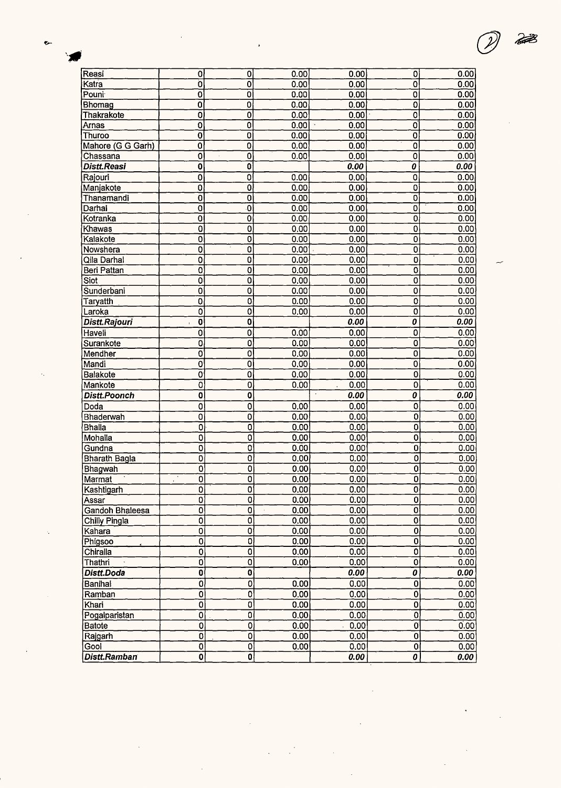| Reasi                    | 0                         | 0                         | 0.00 | 0.00                   |
|--------------------------|---------------------------|---------------------------|------|------------------------|
| Katra                    | ō                         | Ó                         | 0.00 | 0.00                   |
| Pouni                    | 0                         | 0                         | 0.00 | 0.00                   |
| Bhomag                   | 0                         | 0                         | 0.00 | 0.00                   |
| Thakrakote               | 0                         | 0                         | 0.00 | 0.00                   |
| <b>Arnas</b>             | 0                         | 0                         | 0.00 | 0.00                   |
| Thuroo                   | 0                         | 0                         | 0.00 | 0.00                   |
| Mahore (G G Garh)        | $\overline{0}$            | $\overline{\mathfrak{o}}$ | 0.00 | 0.00                   |
| Chassana                 | 0                         | 0                         | 0.00 | 0.00                   |
| Distt.Reasi              | Ò                         | O                         |      | 0.00                   |
| Rajouri                  | Ō                         | 0                         | 0.00 | 0.00                   |
| Manjakote                | $\overline{\mathfrak{o}}$ | $\overline{\mathfrak{o}}$ | 0.00 | 0.00                   |
| Thanamandi               | $\overline{0}$            | $\overline{0}$            | 0.00 | 0.00                   |
| Darhal                   | ō                         | ٠O                        | 0.00 | 0.00                   |
| Kotranka                 | $\overline{0}$            | $\overline{\mathfrak{o}}$ | 0.00 | 0.00                   |
| Khawas                   | 0                         | ō                         | 0.00 | 0.00                   |
| Kalakote                 | 0                         | 0                         | 0.00 | 0.00                   |
| Nowshera                 | 0                         | 0                         | 0.00 | 0.00                   |
| Qila Darhal              | Ō                         | Ō                         | 0.00 | 0.00                   |
| Beri Pattan              | 0                         | $\overline{\mathbf{0}}$   | 0.00 | 0.00                   |
| $\overline{\text{Siot}}$ | ō                         | $\overline{0}$            | 0,00 | 0.00                   |
| Sunderbani               | Ò                         | 0                         | 0.00 | 0.00                   |
| Taryatth                 | 0                         | 0                         | 0.00 | 0.00                   |
| Laroka                   | 0                         | $\overline{\mathfrak{o}}$ | 0.00 | 0.00                   |
| Distt.Rajouri            | 0<br>J.                   | 0                         |      | 0.00                   |
| Haveli                   | $\overline{0}$            | ō                         | 0.00 | 0.00                   |
| Surankote                | $\overline{0}$            | $\mathbf 0$               | 0.00 | 0.00                   |
| Mendher                  | $\overline{0}$            | 0                         | 0.00 | 0.00                   |
| Mandi                    | 0                         | 0                         | 0.00 | 0.00                   |
| <b>Balakote</b>          | 0                         | 0                         | 0.00 | 0.00                   |
| Mankote                  | 0                         | $\overline{0}$            | 0.00 | 0.00                   |
| <b>Distt.Poonch</b>      | $\mathbf 0$               | $\mathbf 0$               |      | $\overline{a}$<br>0.00 |
| Doda                     | $\overline{0}$            | $\overline{0}$            | 0.00 | 0.00                   |
| Bhaderwah                | $\overline{0}$            | $\overline{\mathbf{0}}$   | 0.00 | 0.00                   |
| <b>Bhalla</b>            | 0                         | 0                         | 0.00 | 0.00                   |

| Qila Darhal         | 0                                        | 0                         | 0.00 | 0.00 | 0                                      | 0.00 |
|---------------------|------------------------------------------|---------------------------|------|------|----------------------------------------|------|
| Beri Pattan         | 0                                        | $\overline{\mathbf{0}}$   | 0.00 | 0.00 | $\overline{\mathfrak{o}}$              | 0.00 |
| Siot                | 0                                        | $\overline{0}$            | 0,00 | 0.00 | 0                                      | 0.00 |
| Sunderbani          | o                                        | 0                         | 0.00 | 0.00 | 0                                      | 0.00 |
| Taryatth            | 0                                        | 0                         | 0.00 | 0.00 | 0                                      | 0.00 |
| Laroka              | 0                                        | 0                         | 0.00 | 0.00 | 0                                      | 0.00 |
| Distt.Rajouri       | $\overline{\mathbf{0}}$<br>$\pmb{\cdot}$ | $\overline{\mathbf{o}}$   |      | 0.00 | $\overline{o}$                         | 0.00 |
| Haveli              | $\overline{\mathbf{0}}$                  | o                         | 0.00 | 0.00 | 0                                      | 0.00 |
| Surankote           | $\overline{0}$                           | $\overline{0}$            | 0.00 | 0.00 | $\overline{0}$                         | 0.00 |
| Mendher             | $\overline{0}$                           | 0                         | 0.00 | 0.00 | $\mathbf 0$                            | 0.00 |
| Mandi               | $\mathbf 0$                              | $\overline{0}$            | 0,00 | 0.00 | 0                                      | 0.00 |
| <b>Balakote</b>     | $\overline{0}$                           | 0                         | 0.00 | 0.00 | $\overline{0}$                         | 0.00 |
| Mankote             | 0                                        | 0                         | 0,00 | 0.00 | $\overline{0}$                         | 0.00 |
| <b>Distt.Poonch</b> | 0                                        | 0                         |      | 0.00 | $\overline{\boldsymbol{\mathfrak{o}}}$ | 0.00 |
| Doda                | 0                                        | 0                         | 0.00 | 0.00 | 0                                      | 0.00 |
| Bhaderwah           | $\overline{0}$                           | 0                         | 0.00 | 0.00 | $\overline{0}$                         | 0.00 |
| <b>Bhalla</b>       | $\overline{0}$                           | $\overline{0}$            | 0.00 | 0.00 | $\mathbf 0$                            | 0.00 |
| Mohalla             | $\overline{0}$                           | 0                         | 0.00 | 0.00 | 0                                      | 0.00 |
| Gundna              | $\overline{0}$                           | 0                         | 0.00 | 0.00 | ō                                      | 0.00 |
| Bharath Bagla       | $\overline{0}$                           | 0                         | 0.00 | 0.00 | $\mathbf 0$                            | 0.00 |
| Bhagwah             | $\overline{0}$                           | $\overline{\mathfrak{o}}$ | 0.00 | 0.00 | $\overline{0}$                         | 0.00 |
| Marmat              | $\overline{0}$<br>$\ddot{\phantom{1}}$   | 0                         | 0.00 | 0.00 | $\mathbf 0$                            | 0.00 |
| Kashtigarh          | $\mathbf 0$                              | 0                         | 0.00 | 0.00 | $\overline{0}$                         | 0.00 |
| Assar               | $\overline{0}$                           | O                         | 0.00 | 0.00 | $\overline{0}$                         | 0.00 |
| Gandoh Bhaleesa     | $\overline{0}$                           | 0                         | 0.00 | 0.00 | 0                                      | 0.00 |
| Chilly Pingla       | $\overline{0}$                           | 0                         | 0.00 | 0.00 | $\mathbf 0$                            | 0.00 |
| Kahara              | $\overline{0}$                           | 0                         | 0.00 | 0.00 | $\mathbf 0$                            | 0.00 |
| Phigsoo             | $\overline{0}$                           | 0                         | 0.00 | 0.00 | $\mathbf 0$                            | 0.00 |
| Chiralla            | $\overline{0}$                           | 0                         | 0,00 | 0.00 | $\overline{\mathfrak{o}}$              | 0.00 |
| Thathri             | $\bar{0}$                                | O                         | 0.00 | 0.00 | $\overline{0}$                         | 0.00 |
| Distt.Doda          | $\bf{0}$                                 | $\overline{\mathbf{0}}$   |      | 0.00 | 0                                      | 0.00 |
| Banihal             | $\overline{0}$                           | 0                         | 0.00 | 0.00 | $\mathbf 0$                            | 0.00 |
| Ramban              | $\overline{0}$                           | Ō                         | 0.00 | 0.00 | $\overline{0}$                         | 0.00 |
| Khari               | $\mathbf 0$                              | 0                         | 0.00 | 0.00 | 0                                      | 0.00 |

 $0,00$ 

 $0.00$ 

 $0.00$ 

 $0.00$ 

 $\overline{\mathfrak{o}}$ 

 $\overline{0}$ 

 $\overline{\mathbf{o}}$ 

 $\overline{\mathbf{e}}$ 

 $\overline{\mathbf{0}}$ 

 $\overline{0}$ 

 $\overline{0}$ 

 $\overline{0}$ 

 $\overline{0}$ 

 $|0|$ 

 $0.00$ 

 $0.00$ 

 $0.00$ 

 $0.00$ 

 $0.00$ 

 $\overline{0}$ 

 $\overline{\mathfrak{o}}$ 

 $|0|$ 

 $|0|$ 

 $\boldsymbol{o}$ 

 $0.00$ 

 $0.00$ 

 $0.00$ 

 $0.00$ 

 $0.00$ 

ę.

**Batote** 

|Gool

Rajgarh

Pogalparistan

Distt.Ramban

P

 $\overline{0}$ 

 $\overline{\mathfrak{o}}$ 

 $\overline{\mathfrak{o}}$ 

 $\overline{\mathfrak{o}}$ 

ᅙ

 $\overline{\mathbf{o}}$ 

 $\overline{\mathbf{o}}$ 

 $\overline{\mathfrak{o}}$ 

ō

 $\overline{\boldsymbol{\mathfrak{o}}}$ 

 $\overline{\mathfrak{o}}$ 

 $\overline{\mathfrak{o}}$ 

 $\overline{\mathfrak{o}}$ 

 $\overline{\mathfrak{o}}$ 

이

 $\overline{0}$ 

 $\overline{0}$ 

히

 $0.00$ 

 $0.00$ 

 $0.00$ 

 $0.00$ 

 $0.00$ 

 $0.00$ 

 $0.00$ 

 $0.00$ 

 $0.00$ 

 $0.00$ 

 $0.00$ 

 $0.00$ 

 $0.00$ 

 $0.00$ 

 $0.00$ 

 $0.00$ 

 $0.00$ 

 $0.00$